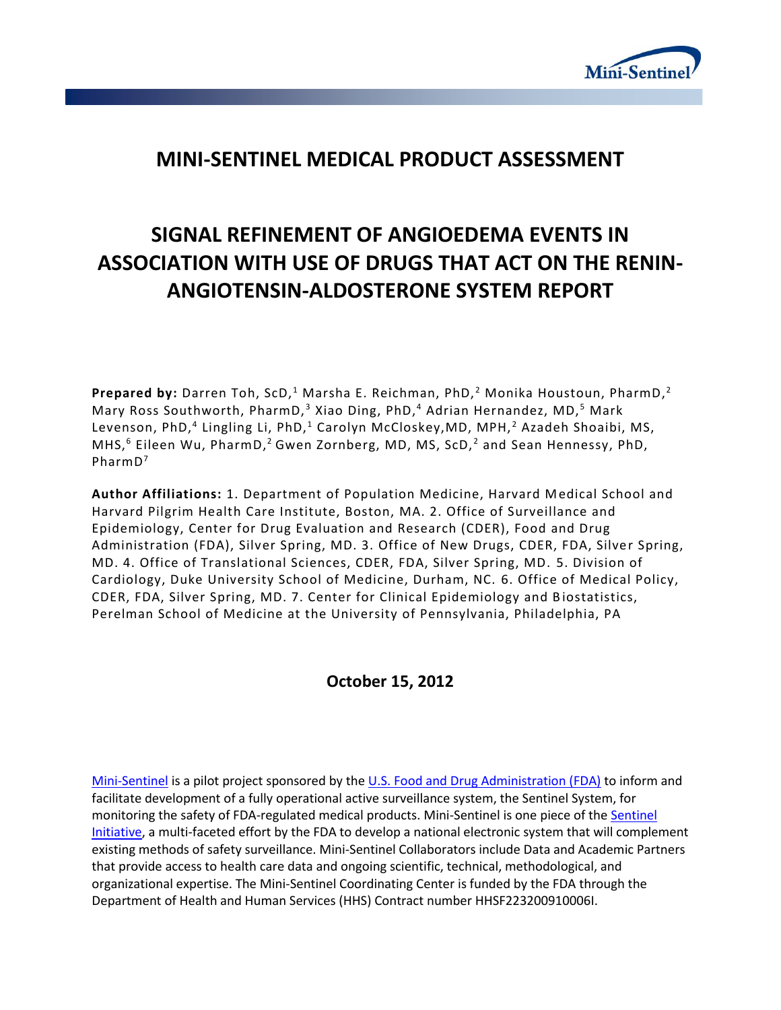

# **MINI-SENTINEL MEDICAL PRODUCT ASSESSMENT**

# **SIGNAL REFINEMENT OF ANGIOEDEMA EVENTS IN ASSOCIATION WITH USE OF DRUGS THAT ACT ON THE RENIN-ANGIOTENSIN-ALDOSTERONE SYSTEM REPORT**

**Prepared by:** Darren Toh, ScD,<sup>1</sup> Marsha E. Reichman, PhD,<sup>2</sup> Monika Houstoun, PharmD,<sup>2</sup> Mary Ross Southworth, PharmD,<sup>3</sup> Xiao Ding, PhD,<sup>4</sup> Adrian Hernandez, MD,<sup>5</sup> Mark Levenson, PhD,<sup>4</sup> Lingling Li, PhD,<sup>1</sup> Carolyn McCloskey,MD, MPH,<sup>2</sup> Azadeh Shoaibi, MS, MHS,<sup>6</sup> Eileen Wu, PharmD,<sup>2</sup> Gwen Zornberg, MD, MS, ScD,<sup>2</sup> and Sean Hennessy, PhD, PharmD<sup>7</sup>

**Author Affiliations:** 1. Department of Population Medicine, Harvard Medical School and Harvard Pilgrim Health Care Institute, Boston, MA. 2. Office of Surveillance and Epidemiology, Center for Drug Evaluation and Research (CDER), Food and Drug Administration (FDA), Silver Spring, MD. 3. Office of New Drugs, CDER, FDA, Silver Spring, MD. 4. Office of Translational Sciences, CDER, FDA, Silver Spring, MD. 5. Division of Cardiology, Duke University School of Medicine, Durham, NC. 6. Office of Medical Policy, CDER, FDA, Silver Spring, MD. 7. Center for Clinical Epidemiology and B iostatistics, Perelman School of Medicine at the University of Pennsylvania, Philadelphia, PA

# **October 15, 2012**

[Mini-Sentinel](http://mini-sentinel.org/) is a pilot project sponsored by th[e U.S. Food and Drug Administration \(FDA\)](http://www.fda.gov/) to inform and facilitate development of a fully operational active surveillance system, the Sentinel System, for monitoring the safety of FDA-regulated medical products. Mini-Sentinel is one piece of the Sentinel [Initiative,](http://www.fda.gov/Safety/FDAsSentinelInitiative/default.htm) a multi-faceted effort by the FDA to develop a national electronic system that will complement existing methods of safety surveillance. Mini-Sentinel Collaborators include Data and Academic Partners that provide access to health care data and ongoing scientific, technical, methodological, and organizational expertise. The Mini-Sentinel Coordinating Center is funded by the FDA through the Department of Health and Human Services (HHS) Contract number HHSF223200910006I.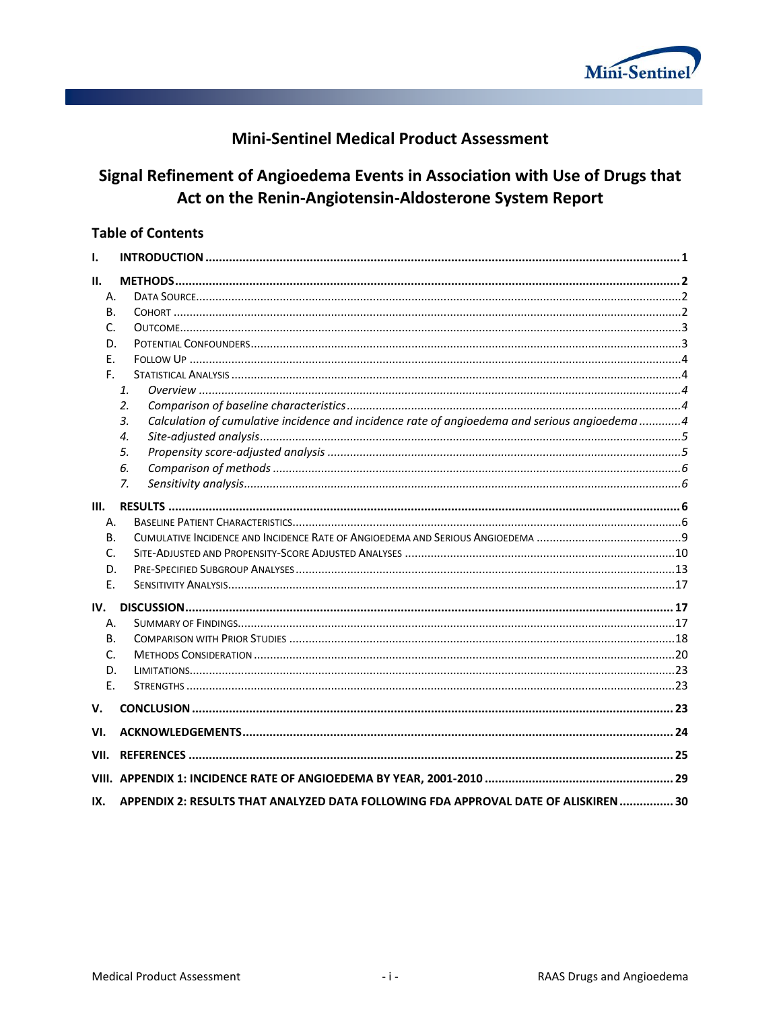

# **Mini-Sentinel Medical Product Assessment**

# Signal Refinement of Angioedema Events in Association with Use of Drugs that Act on the Renin-Angiotensin-Aldosterone System Report

# **Table of Contents**

| Ι.    |                                                                                                    |  |
|-------|----------------------------------------------------------------------------------------------------|--|
| II.   |                                                                                                    |  |
| Α.    |                                                                                                    |  |
| В.    |                                                                                                    |  |
| C.    |                                                                                                    |  |
| D.    |                                                                                                    |  |
| F.    |                                                                                                    |  |
| F.    |                                                                                                    |  |
|       | 1.                                                                                                 |  |
|       | 2.                                                                                                 |  |
|       | Calculation of cumulative incidence and incidence rate of angioedema and serious angioedema4<br>3. |  |
|       | 4.                                                                                                 |  |
|       | 5.                                                                                                 |  |
|       | 6.                                                                                                 |  |
|       | $Z_{\rm r}$                                                                                        |  |
| Ш.    |                                                                                                    |  |
| А.    |                                                                                                    |  |
| В.    |                                                                                                    |  |
| C.    |                                                                                                    |  |
| D.    |                                                                                                    |  |
| Ε.    |                                                                                                    |  |
| IV.   |                                                                                                    |  |
| А.    |                                                                                                    |  |
| В.    |                                                                                                    |  |
| C.    |                                                                                                    |  |
| D.    |                                                                                                    |  |
| Ε.    |                                                                                                    |  |
| V.    |                                                                                                    |  |
| VI.   |                                                                                                    |  |
| VII.  |                                                                                                    |  |
| VIII. |                                                                                                    |  |
| IX.   | APPENDIX 2: RESULTS THAT ANALYZED DATA FOLLOWING FDA APPROVAL DATE OF ALISKIREN  30                |  |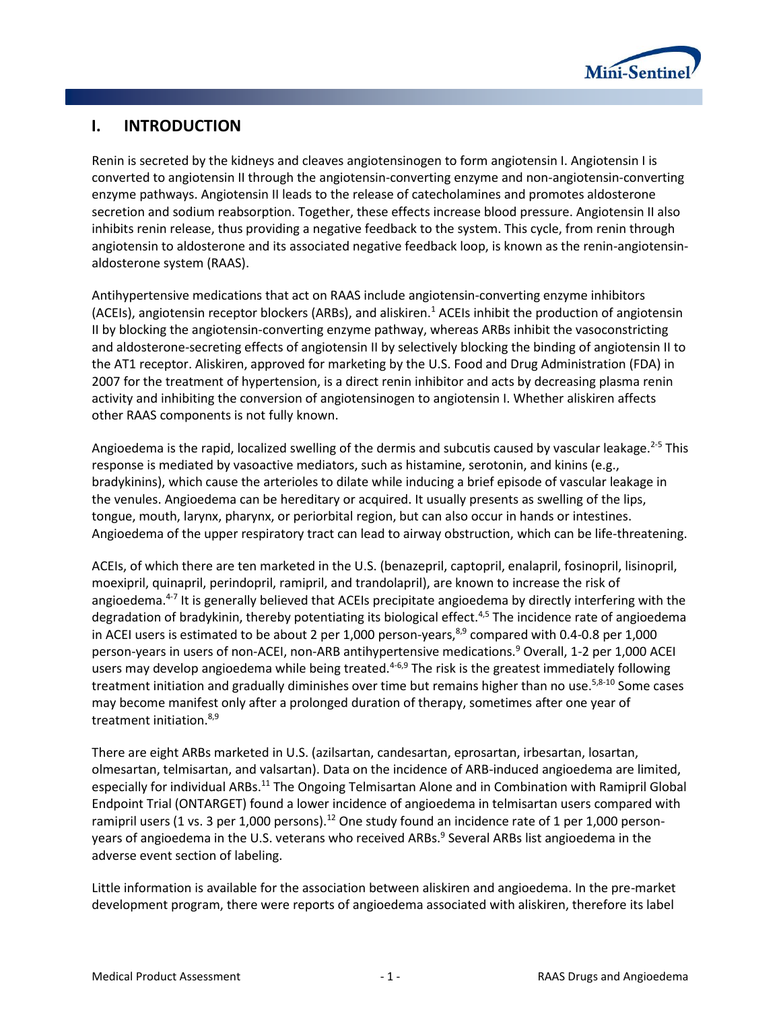

# <span id="page-2-0"></span>**I. INTRODUCTION**

Renin is secreted by the kidneys and cleaves angiotensinogen to form angiotensin I. Angiotensin I is converted to angiotensin II through the angiotensin-converting enzyme and non-angiotensin-converting enzyme pathways. Angiotensin II leads to the release of catecholamines and promotes aldosterone secretion and sodium reabsorption. Together, these effects increase blood pressure. Angiotensin II also inhibits renin release, thus providing a negative feedback to the system. This cycle, from renin through angiotensin to aldosterone and its associated negative feedback loop, is known as the renin-angiotensinaldosterone system (RAAS).

Antihypertensive medications that act on RAAS include angiotensin-converting enzyme inhibitors (ACEIs), angiotensin receptor blockers (ARBs), and aliskiren.<sup>1</sup> ACEIs inhibit the production of angiotensin II by blocking the angiotensin-converting enzyme pathway, whereas ARBs inhibit the vasoconstricting and aldosterone-secreting effects of angiotensin II by selectively blocking the binding of angiotensin II to the AT1 receptor. Aliskiren, approved for marketing by the U.S. Food and Drug Administration (FDA) in 2007 for the treatment of hypertension, is a direct renin inhibitor and acts by decreasing plasma renin activity and inhibiting the conversion of angiotensinogen to angiotensin I. Whether aliskiren affects other RAAS components is not fully known.

Angioedema is the rapid, localized swelling of the dermis and subcutis caused by vascular leakage.<sup>2-5</sup> This response is mediated by vasoactive mediators, such as histamine, serotonin, and kinins (e.g., bradykinins), which cause the arterioles to dilate while inducing a brief episode of vascular leakage in the venules. Angioedema can be hereditary or acquired. It usually presents as swelling of the lips, tongue, mouth, larynx, pharynx, or periorbital region, but can also occur in hands or intestines. Angioedema of the upper respiratory tract can lead to airway obstruction, which can be life-threatening.

ACEIs, of which there are ten marketed in the U.S. (benazepril, captopril, enalapril, fosinopril, lisinopril, moexipril, quinapril, perindopril, ramipril, and trandolapril), are known to increase the risk of angioedema.<sup>4-7</sup> It is generally believed that ACEIs precipitate angioedema by directly interfering with the degradation of bradykinin, thereby potentiating its biological effect.<sup>4,5</sup> The incidence rate of angioedema in ACEI users is estimated to be about 2 per 1,000 person-years, $8.9$  compared with 0.4-0.8 per 1,000 person-years in users of non-ACEI, non-ARB antihypertensive medications.<sup>9</sup> Overall, 1-2 per 1,000 ACEI users may develop angioedema while being treated.<sup>4-6,9</sup> The risk is the greatest immediately following treatment initiation and gradually diminishes over time but remains higher than no use.<sup>5,8-10</sup> Some cases may become manifest only after a prolonged duration of therapy, sometimes after one year of treatment initiation.<sup>8,9</sup>

There are eight ARBs marketed in U.S. (azilsartan, candesartan, eprosartan, irbesartan, losartan, olmesartan, telmisartan, and valsartan). Data on the incidence of ARB-induced angioedema are limited, especially for individual ARBs.<sup>11</sup> The Ongoing Telmisartan Alone and in Combination with Ramipril Global Endpoint Trial (ONTARGET) found a lower incidence of angioedema in telmisartan users compared with ramipril users (1 vs. 3 per 1,000 persons).<sup>12</sup> One study found an incidence rate of 1 per 1,000 personyears of angioedema in the U.S. veterans who received ARBs.<sup>9</sup> Several ARBs list angioedema in the adverse event section of labeling.

Little information is available for the association between aliskiren and angioedema. In the pre-market development program, there were reports of angioedema associated with aliskiren, therefore its label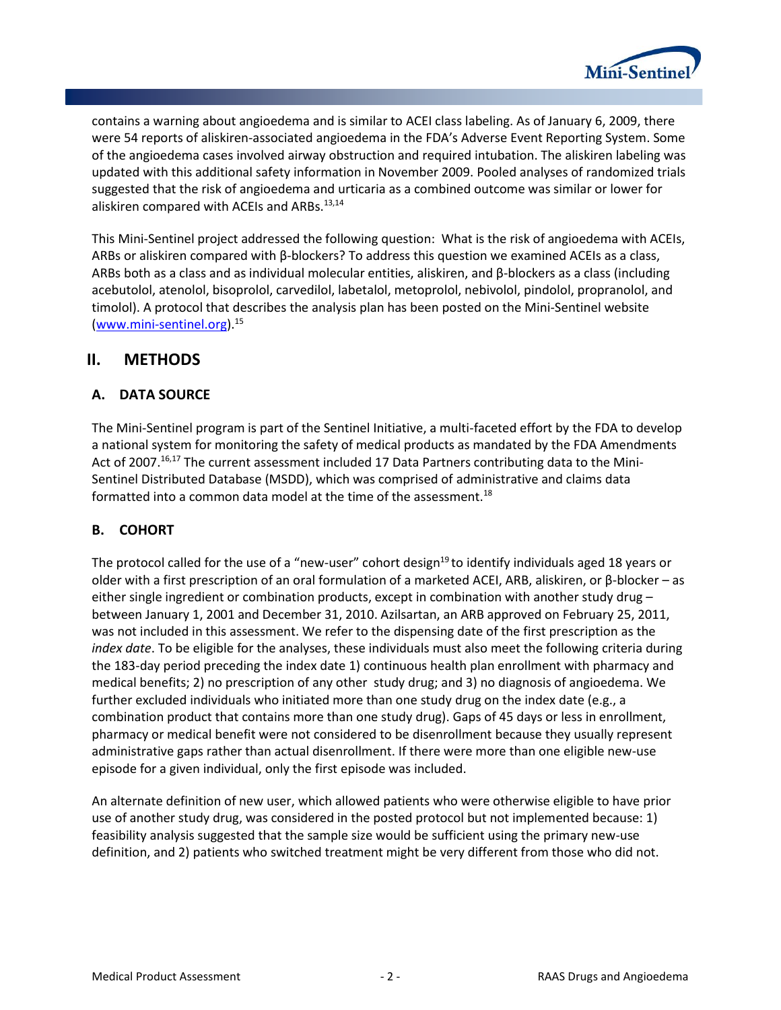

contains a warning about angioedema and is similar to ACEI class labeling. As of January 6, 2009, there were 54 reports of aliskiren-associated angioedema in the FDA's Adverse Event Reporting System. Some of the angioedema cases involved airway obstruction and required intubation. The aliskiren labeling was updated with this additional safety information in November 2009. Pooled analyses of randomized trials suggested that the risk of angioedema and urticaria as a combined outcome was similar or lower for aliskiren compared with ACEIs and ARBs.<sup>13,14</sup>

This Mini-Sentinel project addressed the following question: What is the risk of angioedema with ACEIs, ARBs or aliskiren compared with β-blockers? To address this question we examined ACEIs as a class, ARBs both as a class and as individual molecular entities, aliskiren, and β-blockers as a class (including acebutolol, atenolol, bisoprolol, carvedilol, labetalol, metoprolol, nebivolol, pindolol, propranolol, and timolol). A protocol that describes the analysis plan has been posted on the Mini-Sentinel website [\(www.mini-sentinel.org\)](http://www.mini-sentinel.org/). 15

# <span id="page-3-0"></span>**II. METHODS**

# <span id="page-3-1"></span>**A. DATA SOURCE**

The Mini-Sentinel program is part of the Sentinel Initiative, a multi-faceted effort by the FDA to develop a national system for monitoring the safety of medical products as mandated by the FDA Amendments Act of 2007.<sup>16,17</sup> The current assessment included 17 Data Partners contributing data to the Mini-Sentinel Distributed Database (MSDD), which was comprised of administrative and claims data formatted into a common data model at the time of the assessment.<sup>18</sup>

# <span id="page-3-2"></span>**B. COHORT**

The protocol called for the use of a "new-user" cohort design<sup>19</sup> to identify individuals aged 18 years or older with a first prescription of an oral formulation of a marketed ACEI, ARB, aliskiren, or β-blocker – as either single ingredient or combination products, except in combination with another study drug – between January 1, 2001 and December 31, 2010. Azilsartan, an ARB approved on February 25, 2011, was not included in this assessment. We refer to the dispensing date of the first prescription as the *index date*. To be eligible for the analyses, these individuals must also meet the following criteria during the 183-day period preceding the index date 1) continuous health plan enrollment with pharmacy and medical benefits; 2) no prescription of any other study drug; and 3) no diagnosis of angioedema. We further excluded individuals who initiated more than one study drug on the index date (e.g., a combination product that contains more than one study drug). Gaps of 45 days or less in enrollment, pharmacy or medical benefit were not considered to be disenrollment because they usually represent administrative gaps rather than actual disenrollment. If there were more than one eligible new-use episode for a given individual, only the first episode was included.

An alternate definition of new user, which allowed patients who were otherwise eligible to have prior use of another study drug, was considered in the posted protocol but not implemented because: 1) feasibility analysis suggested that the sample size would be sufficient using the primary new-use definition, and 2) patients who switched treatment might be very different from those who did not.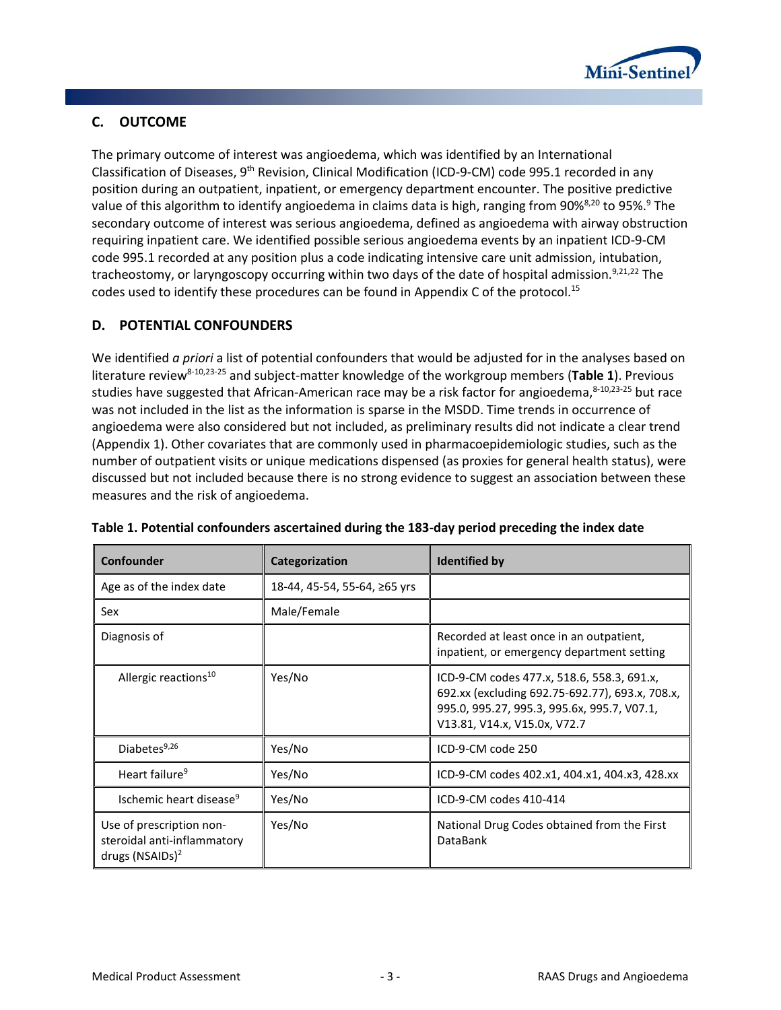

# <span id="page-4-0"></span>**C. OUTCOME**

The primary outcome of interest was angioedema, which was identified by an International Classification of Diseases, 9<sup>th</sup> Revision, Clinical Modification (ICD-9-CM) code 995.1 recorded in any position during an outpatient, inpatient, or emergency department encounter. The positive predictive value of this algorithm to identify angioedema in claims data is high, ranging from 90%<sup>8,20</sup> to 95%.<sup>9</sup> The secondary outcome of interest was serious angioedema, defined as angioedema with airway obstruction requiring inpatient care. We identified possible serious angioedema events by an inpatient ICD-9-CM code 995.1 recorded at any position plus a code indicating intensive care unit admission, intubation, tracheostomy, or laryngoscopy occurring within two days of the date of hospital admission.<sup>9,21,22</sup> The codes used to identify these procedures can be found in Appendix C of the protocol.<sup>15</sup>

# <span id="page-4-1"></span>**D. POTENTIAL CONFOUNDERS**

We identified *a priori* a list of potential confounders that would be adjusted for in the analyses based on literature review8-10,23-25 and subject-matter knowledge of the workgroup members (**[Table 1](#page-4-2)**). Previous studies have suggested that African-American race may be a risk factor for angioedema, 8-10,23-25 but race was not included in the list as the information is sparse in the MSDD. Time trends in occurrence of angioedema were also considered but not included, as preliminary results did not indicate a clear trend [\(Appendix 1\)](#page-30-0). Other covariates that are commonly used in pharmacoepidemiologic studies, such as the number of outpatient visits or unique medications dispensed (as proxies for general health status), were discussed but not included because there is no strong evidence to suggest an association between these measures and the risk of angioedema.

| Confounder                                                                             | Categorization               | <b>Identified by</b>                                                                                                                                                         |
|----------------------------------------------------------------------------------------|------------------------------|------------------------------------------------------------------------------------------------------------------------------------------------------------------------------|
| Age as of the index date                                                               | 18-44, 45-54, 55-64, ≥65 yrs |                                                                                                                                                                              |
| Sex                                                                                    | Male/Female                  |                                                                                                                                                                              |
| Diagnosis of                                                                           |                              | Recorded at least once in an outpatient,<br>inpatient, or emergency department setting                                                                                       |
| Allergic reactions <sup>10</sup>                                                       | Yes/No                       | ICD-9-CM codes 477.x, 518.6, 558.3, 691.x,<br>692.xx (excluding 692.75-692.77), 693.x, 708.x,<br>995.0, 995.27, 995.3, 995.6x, 995.7, V07.1,<br>V13.81, V14.x, V15.0x, V72.7 |
| Diabetes <sup>9,26</sup>                                                               | Yes/No                       | ICD-9-CM code 250                                                                                                                                                            |
| Heart failure <sup>9</sup>                                                             | Yes/No                       | ICD-9-CM codes 402.x1, 404.x1, 404.x3, 428.xx                                                                                                                                |
| Ischemic heart disease <sup>9</sup>                                                    | Yes/No                       | ICD-9-CM codes 410-414                                                                                                                                                       |
| Use of prescription non-<br>steroidal anti-inflammatory<br>drugs (NSAIDs) <sup>2</sup> | Yes/No                       | National Drug Codes obtained from the First<br><b>DataBank</b>                                                                                                               |

<span id="page-4-2"></span>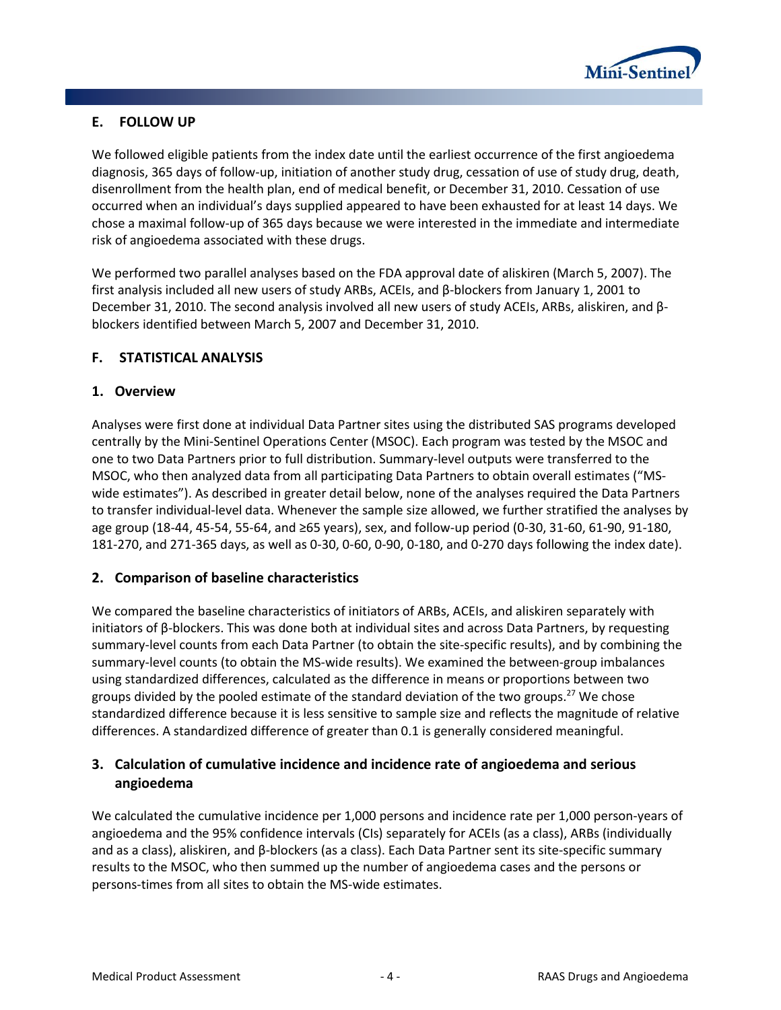

# <span id="page-5-0"></span>**E. FOLLOW UP**

We followed eligible patients from the index date until the earliest occurrence of the first angioedema diagnosis, 365 days of follow-up, initiation of another study drug, cessation of use of study drug, death, disenrollment from the health plan, end of medical benefit, or December 31, 2010. Cessation of use occurred when an individual's days supplied appeared to have been exhausted for at least 14 days. We chose a maximal follow-up of 365 days because we were interested in the immediate and intermediate risk of angioedema associated with these drugs.

We performed two parallel analyses based on the FDA approval date of aliskiren (March 5, 2007). The first analysis included all new users of study ARBs, ACEIs, and β-blockers from January 1, 2001 to December 31, 2010. The second analysis involved all new users of study ACEIs, ARBs, aliskiren, and βblockers identified between March 5, 2007 and December 31, 2010.

# <span id="page-5-1"></span>**F. STATISTICAL ANALYSIS**

# <span id="page-5-2"></span>**1. Overview**

Analyses were first done at individual Data Partner sites using the distributed SAS programs developed centrally by the Mini-Sentinel Operations Center (MSOC). Each program was tested by the MSOC and one to two Data Partners prior to full distribution. Summary-level outputs were transferred to the MSOC, who then analyzed data from all participating Data Partners to obtain overall estimates ("MSwide estimates"). As described in greater detail below, none of the analyses required the Data Partners to transfer individual-level data. Whenever the sample size allowed, we further stratified the analyses by age group (18-44, 45-54, 55-64, and ≥65 years), sex, and follow-up period (0-30, 31-60, 61-90, 91-180, 181-270, and 271-365 days, as well as 0-30, 0-60, 0-90, 0-180, and 0-270 days following the index date).

# <span id="page-5-3"></span>**2. Comparison of baseline characteristics**

We compared the baseline characteristics of initiators of ARBs, ACEIs, and aliskiren separately with initiators of β-blockers. This was done both at individual sites and across Data Partners, by requesting summary-level counts from each Data Partner (to obtain the site-specific results), and by combining the summary-level counts (to obtain the MS-wide results). We examined the between-group imbalances using standardized differences, calculated as the difference in means or proportions between two groups divided by the pooled estimate of the standard deviation of the two groups.<sup>27</sup> We chose standardized difference because it is less sensitive to sample size and reflects the magnitude of relative differences. A standardized difference of greater than 0.1 is generally considered meaningful.

# <span id="page-5-4"></span>**3. Calculation of cumulative incidence and incidence rate of angioedema and serious angioedema**

We calculated the cumulative incidence per 1,000 persons and incidence rate per 1,000 person-years of angioedema and the 95% confidence intervals (CIs) separately for ACEIs (as a class), ARBs (individually and as a class), aliskiren, and β-blockers (as a class). Each Data Partner sent its site-specific summary results to the MSOC, who then summed up the number of angioedema cases and the persons or persons-times from all sites to obtain the MS-wide estimates.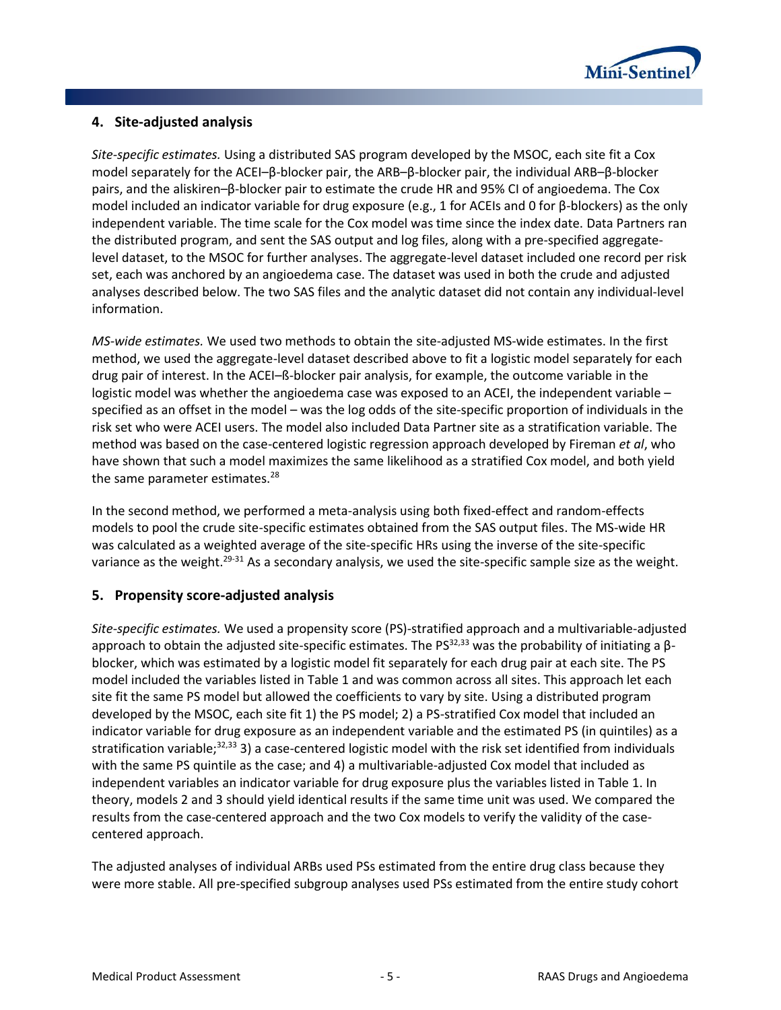

# <span id="page-6-0"></span>**4. Site-adjusted analysis**

*Site-specific estimates.* Using a distributed SAS program developed by the MSOC, each site fit a Cox model separately for the ACEI–β-blocker pair, the ARB–β-blocker pair, the individual ARB–β-blocker pairs, and the aliskiren–β-blocker pair to estimate the crude HR and 95% CI of angioedema. The Cox model included an indicator variable for drug exposure (e.g., 1 for ACEIs and 0 for β-blockers) as the only independent variable. The time scale for the Cox model was time since the index date. Data Partners ran the distributed program, and sent the SAS output and log files, along with a pre-specified aggregatelevel dataset, to the MSOC for further analyses. The aggregate-level dataset included one record per risk set, each was anchored by an angioedema case. The dataset was used in both the crude and adjusted analyses described below. The two SAS files and the analytic dataset did not contain any individual-level information.

*MS-wide estimates.* We used two methods to obtain the site-adjusted MS-wide estimates. In the first method, we used the aggregate-level dataset described above to fit a logistic model separately for each drug pair of interest. In the ACEI–ß-blocker pair analysis, for example, the outcome variable in the logistic model was whether the angioedema case was exposed to an ACEI, the independent variable – specified as an offset in the model – was the log odds of the site-specific proportion of individuals in the risk set who were ACEI users. The model also included Data Partner site as a stratification variable. The method was based on the case-centered logistic regression approach developed by Fireman *et al*, who have shown that such a model maximizes the same likelihood as a stratified Cox model, and both yield the same parameter estimates.<sup>28</sup>

In the second method, we performed a meta-analysis using both fixed-effect and random-effects models to pool the crude site-specific estimates obtained from the SAS output files. The MS-wide HR was calculated as a weighted average of the site-specific HRs using the inverse of the site-specific variance as the weight.<sup>29-31</sup> As a secondary analysis, we used the site-specific sample size as the weight.

# <span id="page-6-1"></span>**5. Propensity score-adjusted analysis**

*Site-specific estimates.* We used a propensity score (PS)-stratified approach and a multivariable-adjusted approach to obtain the adjusted site-specific estimates. The PS $^{32,33}$  was the probability of initiating a  $\beta$ blocker, which was estimated by a logistic model fit separately for each drug pair at each site. The PS model included the variables listed in Table 1 and was common across all sites. This approach let each site fit the same PS model but allowed the coefficients to vary by site. Using a distributed program developed by the MSOC, each site fit 1) the PS model; 2) a PS-stratified Cox model that included an indicator variable for drug exposure as an independent variable and the estimated PS (in quintiles) as a stratification variable; $32,33$  3) a case-centered logistic model with the risk set identified from individuals with the same PS quintile as the case; and 4) a multivariable-adjusted Cox model that included as independent variables an indicator variable for drug exposure plus the variables listed in Table 1. In theory, models 2 and 3 should yield identical results if the same time unit was used. We compared the results from the case-centered approach and the two Cox models to verify the validity of the casecentered approach.

The adjusted analyses of individual ARBs used PSs estimated from the entire drug class because they were more stable. All pre-specified subgroup analyses used PSs estimated from the entire study cohort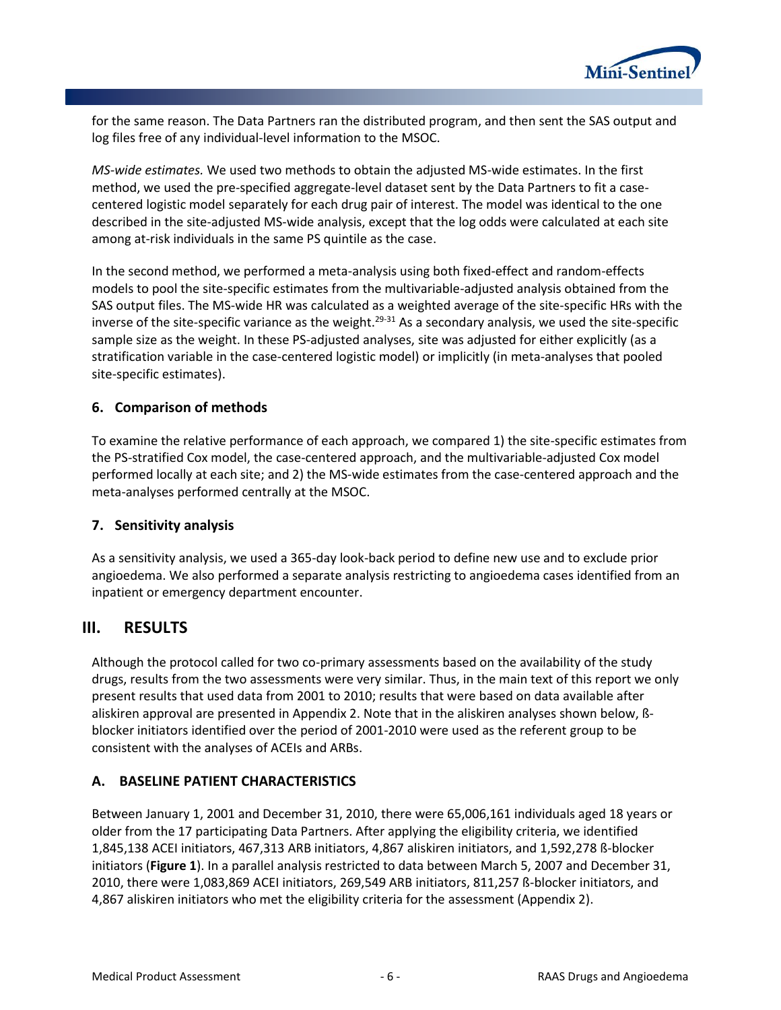

for the same reason. The Data Partners ran the distributed program, and then sent the SAS output and log files free of any individual-level information to the MSOC.

*MS-wide estimates.* We used two methods to obtain the adjusted MS-wide estimates. In the first method, we used the pre-specified aggregate-level dataset sent by the Data Partners to fit a casecentered logistic model separately for each drug pair of interest. The model was identical to the one described in the site-adjusted MS-wide analysis, except that the log odds were calculated at each site among at-risk individuals in the same PS quintile as the case.

In the second method, we performed a meta-analysis using both fixed-effect and random-effects models to pool the site-specific estimates from the multivariable-adjusted analysis obtained from the SAS output files. The MS-wide HR was calculated as a weighted average of the site-specific HRs with the inverse of the site-specific variance as the weight.<sup>29-31</sup> As a secondary analysis, we used the site-specific sample size as the weight. In these PS-adjusted analyses, site was adjusted for either explicitly (as a stratification variable in the case-centered logistic model) or implicitly (in meta-analyses that pooled site-specific estimates).

# <span id="page-7-0"></span>**6. Comparison of methods**

To examine the relative performance of each approach, we compared 1) the site-specific estimates from the PS-stratified Cox model, the case-centered approach, and the multivariable-adjusted Cox model performed locally at each site; and 2) the MS-wide estimates from the case-centered approach and the meta-analyses performed centrally at the MSOC.

### <span id="page-7-1"></span>**7. Sensitivity analysis**

As a sensitivity analysis, we used a 365-day look-back period to define new use and to exclude prior angioedema. We also performed a separate analysis restricting to angioedema cases identified from an inpatient or emergency department encounter.

# <span id="page-7-2"></span>**III. RESULTS**

Although the protocol called for two co-primary assessments based on the availability of the study drugs, results from the two assessments were very similar. Thus, in the main text of this report we only present results that used data from 2001 to 2010; results that were based on data available after aliskiren approval are presented i[n Appendix 2.](#page-31-0) Note that in the aliskiren analyses shown below, ßblocker initiators identified over the period of 2001-2010 were used as the referent group to be consistent with the analyses of ACEIs and ARBs.

### <span id="page-7-3"></span>**A. BASELINE PATIENT CHARACTERISTICS**

Between January 1, 2001 and December 31, 2010, there were 65,006,161 individuals aged 18 years or older from the 17 participating Data Partners. After applying the eligibility criteria, we identified 1,845,138 ACEI initiators, 467,313 ARB initiators, 4,867 aliskiren initiators, and 1,592,278 ß-blocker initiators (**[Figure 1](#page-8-0)**). In a parallel analysis restricted to data between March 5, 2007 and December 31, 2010, there were 1,083,869 ACEI initiators, 269,549 ARB initiators, 811,257 ß-blocker initiators, and 4,867 aliskiren initiators who met the eligibility criteria for the assessment [\(Appendix 2\)](#page-31-0).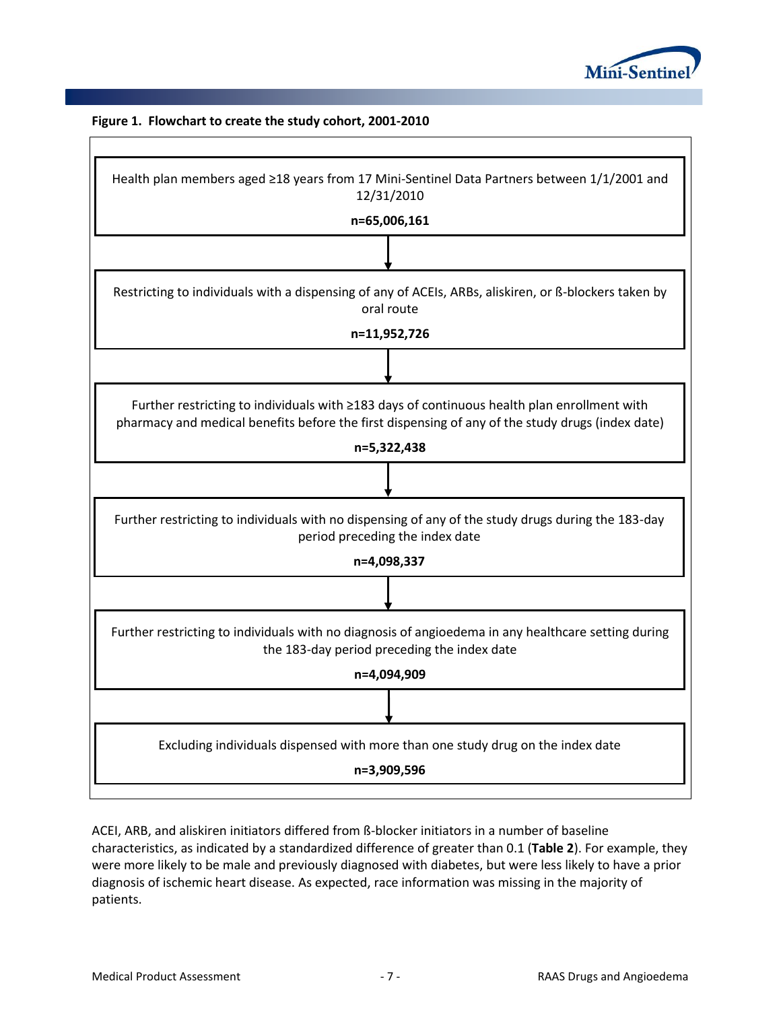

#### <span id="page-8-0"></span>**Figure 1. Flowchart to create the study cohort, 2001-2010**

| Health plan members aged ≥18 years from 17 Mini-Sentinel Data Partners between 1/1/2001 and<br>12/31/2010                                                                                       |
|-------------------------------------------------------------------------------------------------------------------------------------------------------------------------------------------------|
| n=65,006,161                                                                                                                                                                                    |
|                                                                                                                                                                                                 |
| Restricting to individuals with a dispensing of any of ACEIs, ARBs, aliskiren, or ß-blockers taken by<br>oral route                                                                             |
| n=11,952,726                                                                                                                                                                                    |
|                                                                                                                                                                                                 |
| Further restricting to individuals with ≥183 days of continuous health plan enrollment with<br>pharmacy and medical benefits before the first dispensing of any of the study drugs (index date) |
| n=5,322,438                                                                                                                                                                                     |
|                                                                                                                                                                                                 |
| Further restricting to individuals with no dispensing of any of the study drugs during the 183-day<br>period preceding the index date                                                           |
| n=4,098,337                                                                                                                                                                                     |
|                                                                                                                                                                                                 |
| Further restricting to individuals with no diagnosis of angioedema in any healthcare setting during<br>the 183-day period preceding the index date                                              |
| n=4,094,909                                                                                                                                                                                     |
|                                                                                                                                                                                                 |
| Excluding individuals dispensed with more than one study drug on the index date                                                                                                                 |
| n=3,909,596                                                                                                                                                                                     |
|                                                                                                                                                                                                 |

ACEI, ARB, and aliskiren initiators differed from ß-blocker initiators in a number of baseline characteristics, as indicated by a standardized difference of greater than 0.1 (**[Table 2](#page-9-0)**). For example, they were more likely to be male and previously diagnosed with diabetes, but were less likely to have a prior diagnosis of ischemic heart disease. As expected, race information was missing in the majority of patients.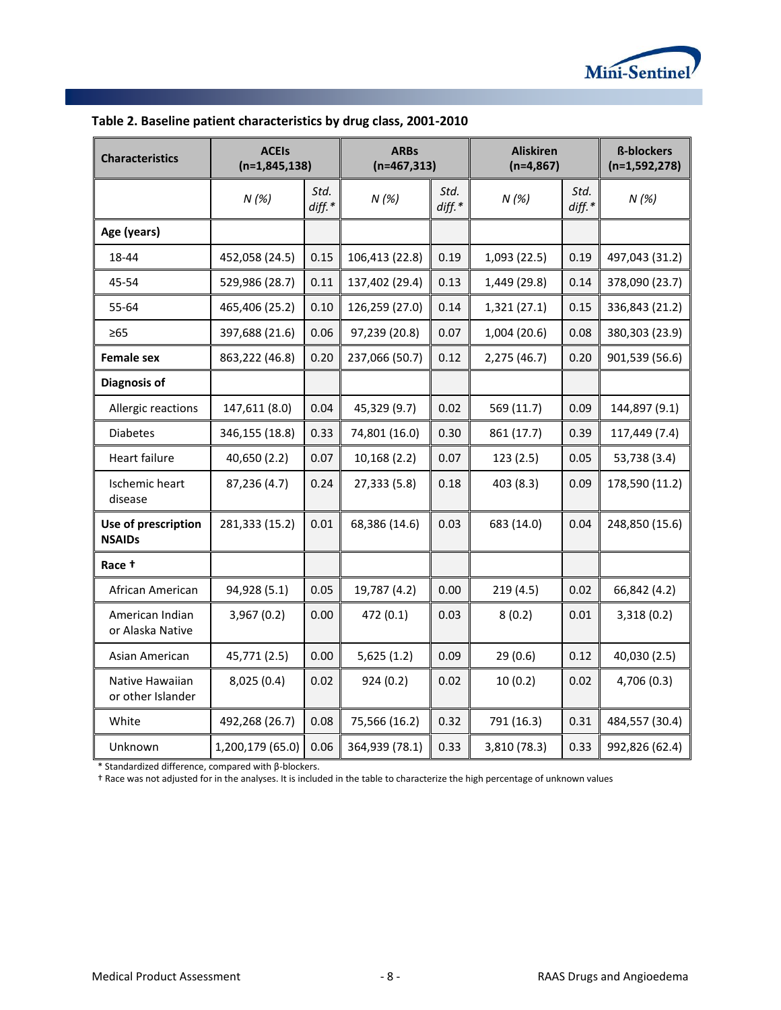

| <b>Characteristics</b>               | <b>ACEIs</b><br>$(n=1,845,138)$ |                  | <b>ARBs</b><br>$(n=467,313)$ |                  | <b>Aliskiren</b><br>$(n=4,867)$ |                  | <b>ß-blockers</b><br>$(n=1,592,278)$ |
|--------------------------------------|---------------------------------|------------------|------------------------------|------------------|---------------------------------|------------------|--------------------------------------|
|                                      | N(%)                            | Std.<br>$diff.*$ | N(%)                         | Std.<br>$diff.*$ | N(%)                            | Std.<br>$diff.*$ | N(%)                                 |
| Age (years)                          |                                 |                  |                              |                  |                                 |                  |                                      |
| 18-44                                | 452,058 (24.5)                  | 0.15             | 106,413 (22.8)               | 0.19             | 1,093 (22.5)                    | 0.19             | 497,043 (31.2)                       |
| 45-54                                | 529,986 (28.7)                  | 0.11             | 137,402 (29.4)               | 0.13             | 1,449 (29.8)                    | 0.14             | 378,090 (23.7)                       |
| 55-64                                | 465,406 (25.2)                  | 0.10             | 126,259 (27.0)               | 0.14             | 1,321(27.1)                     | 0.15             | 336,843 (21.2)                       |
| $\geq 65$                            | 397,688 (21.6)                  | 0.06             | 97,239 (20.8)                | 0.07             | 1,004 (20.6)                    | 0.08             | 380,303 (23.9)                       |
| <b>Female sex</b>                    | 863,222 (46.8)                  | 0.20             | 237,066 (50.7)               | 0.12             | 2,275 (46.7)                    | 0.20             | 901,539 (56.6)                       |
| Diagnosis of                         |                                 |                  |                              |                  |                                 |                  |                                      |
| Allergic reactions                   | 147,611 (8.0)                   | 0.04             | 45,329 (9.7)                 | 0.02             | 569 (11.7)                      | 0.09             | 144,897 (9.1)                        |
| <b>Diabetes</b>                      | 346,155 (18.8)                  | 0.33             | 74,801 (16.0)                | 0.30             | 861 (17.7)                      | 0.39             | 117,449 (7.4)                        |
| Heart failure                        | 40,650 (2.2)                    | 0.07             | 10,168 (2.2)                 | 0.07             | 123(2.5)                        | 0.05             | 53,738 (3.4)                         |
| Ischemic heart<br>disease            | 87,236 (4.7)                    | 0.24             | 27,333 (5.8)                 | 0.18             | 403 (8.3)                       | 0.09             | 178,590 (11.2)                       |
| Use of prescription<br><b>NSAIDs</b> | 281,333 (15.2)                  | 0.01             | 68,386 (14.6)                | 0.03             | 683 (14.0)                      | 0.04             | 248,850 (15.6)                       |
| Race +                               |                                 |                  |                              |                  |                                 |                  |                                      |
| African American                     | 94,928 (5.1)                    | 0.05             | 19,787 (4.2)                 | 0.00             | 219(4.5)                        | 0.02             | 66,842 (4.2)                         |
| American Indian<br>or Alaska Native  | 3,967(0.2)                      | 0.00             | 472 (0.1)                    | 0.03             | 8(0.2)                          | 0.01             | 3,318(0.2)                           |
| Asian American                       | 45,771 (2.5)                    | 0.00             | 5,625(1.2)                   | 0.09             | 29(0.6)                         | 0.12             | 40,030 (2.5)                         |
| Native Hawaiian<br>or other Islander | 8,025 (0.4)                     | 0.02             | 924 (0.2)                    | 0.02             | 10(0.2)                         | 0.02             | 4,706 (0.3)                          |
| White                                | 492,268 (26.7)                  | 0.08             | 75,566 (16.2)                | 0.32             | 791 (16.3)                      | 0.31             | 484,557 (30.4)                       |
| Unknown                              | 1,200,179 (65.0)                | 0.06             | 364,939 (78.1)               | 0.33             | 3,810 (78.3)                    | 0.33             | 992,826 (62.4)                       |

# <span id="page-9-0"></span>**Table 2. Baseline patient characteristics by drug class, 2001-2010**

\* Standardized difference, compared with β-blockers.

† Race was not adjusted for in the analyses. It is included in the table to characterize the high percentage of unknown values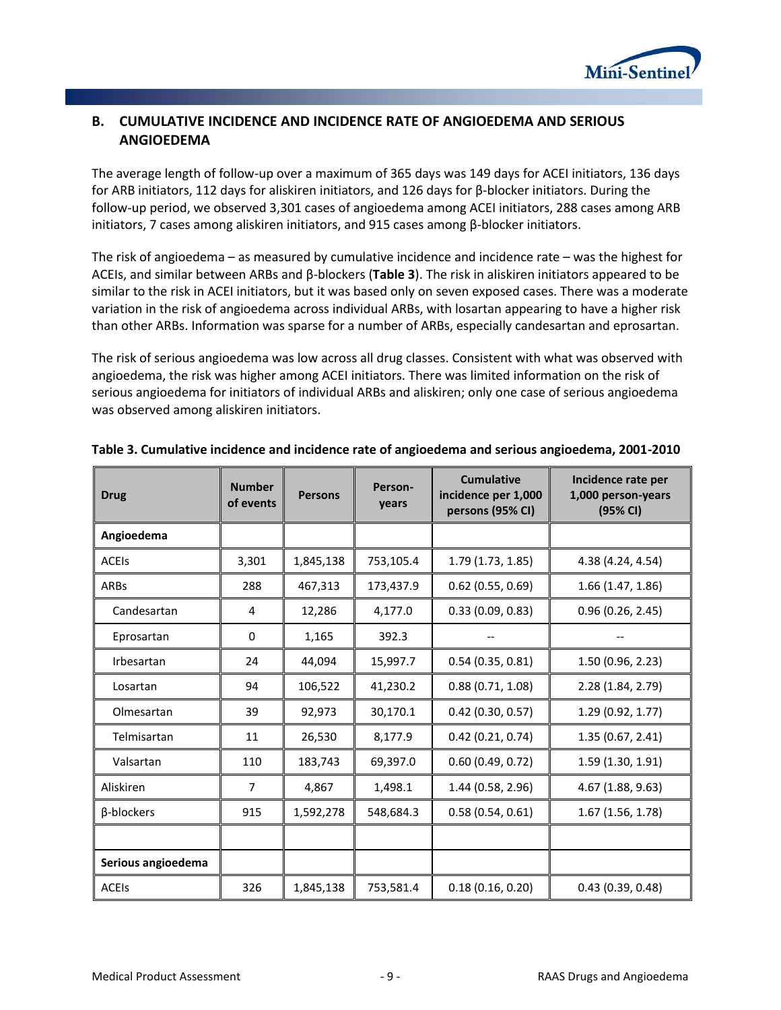

# <span id="page-10-0"></span>**B. CUMULATIVE INCIDENCE AND INCIDENCE RATE OF ANGIOEDEMA AND SERIOUS ANGIOEDEMA**

The average length of follow-up over a maximum of 365 days was 149 days for ACEI initiators, 136 days for ARB initiators, 112 days for aliskiren initiators, and 126 days for β-blocker initiators. During the follow-up period, we observed 3,301 cases of angioedema among ACEI initiators, 288 cases among ARB initiators, 7 cases among aliskiren initiators, and 915 cases among  $β$ -blocker initiators.

The risk of angioedema – as measured by cumulative incidence and incidence rate – was the highest for ACEIs, and similar between ARBs and β-blockers (**[Table 3](#page-10-1)**). The risk in aliskiren initiators appeared to be similar to the risk in ACEI initiators, but it was based only on seven exposed cases. There was a moderate variation in the risk of angioedema across individual ARBs, with losartan appearing to have a higher risk than other ARBs. Information was sparse for a number of ARBs, especially candesartan and eprosartan.

The risk of serious angioedema was low across all drug classes. Consistent with what was observed with angioedema, the risk was higher among ACEI initiators. There was limited information on the risk of serious angioedema for initiators of individual ARBs and aliskiren; only one case of serious angioedema was observed among aliskiren initiators.

| <b>Drug</b>        | <b>Number</b><br>of events | <b>Persons</b> | Person-<br>years | <b>Cumulative</b><br>incidence per 1,000<br>persons (95% CI) | Incidence rate per<br>1,000 person-years<br>(95% CI) |
|--------------------|----------------------------|----------------|------------------|--------------------------------------------------------------|------------------------------------------------------|
| Angioedema         |                            |                |                  |                                                              |                                                      |
| <b>ACEIS</b>       | 3,301                      | 1,845,138      | 753,105.4        | 1.79(1.73, 1.85)                                             | 4.38 (4.24, 4.54)                                    |
| ARBs               | 288                        | 467,313        | 173,437.9        | $0.62$ (0.55, 0.69)                                          | 1.66(1.47, 1.86)                                     |
| Candesartan        | 4                          | 12,286         | 4,177.0          | 0.33(0.09, 0.83)                                             | 0.96(0.26, 2.45)                                     |
| Eprosartan         | $\mathbf{0}$               | 1,165          | 392.3            |                                                              |                                                      |
| Irbesartan         | 24                         | 44,094         | 15,997.7         | 0.54(0.35, 0.81)                                             | 1.50 (0.96, 2.23)                                    |
| Losartan           | 94                         | 106,522        | 41,230.2         | 0.88(0.71, 1.08)                                             | 2.28 (1.84, 2.79)                                    |
| Olmesartan         | 39                         | 92,973         | 30,170.1         | $0.42$ (0.30, 0.57)                                          | 1.29(0.92, 1.77)                                     |
| Telmisartan        | 11                         | 26,530         | 8,177.9          | 0.42(0.21, 0.74)                                             | 1.35(0.67, 2.41)                                     |
| Valsartan          | 110                        | 183,743        | 69,397.0         | 0.60(0.49, 0.72)                                             | 1.59 (1.30, 1.91)                                    |
| Aliskiren          | 7                          | 4,867          | 1,498.1          | 1.44 (0.58, 2.96)                                            | 4.67(1.88, 9.63)                                     |
| β-blockers         | 915                        | 1,592,278      | 548,684.3        | 0.58(0.54, 0.61)                                             | 1.67(1.56, 1.78)                                     |
|                    |                            |                |                  |                                                              |                                                      |
| Serious angioedema |                            |                |                  |                                                              |                                                      |
| <b>ACEIS</b>       | 326                        | 1,845,138      | 753,581.4        | 0.18(0.16, 0.20)                                             | 0.43(0.39, 0.48)                                     |

#### <span id="page-10-1"></span>**Table 3. Cumulative incidence and incidence rate of angioedema and serious angioedema, 2001-2010**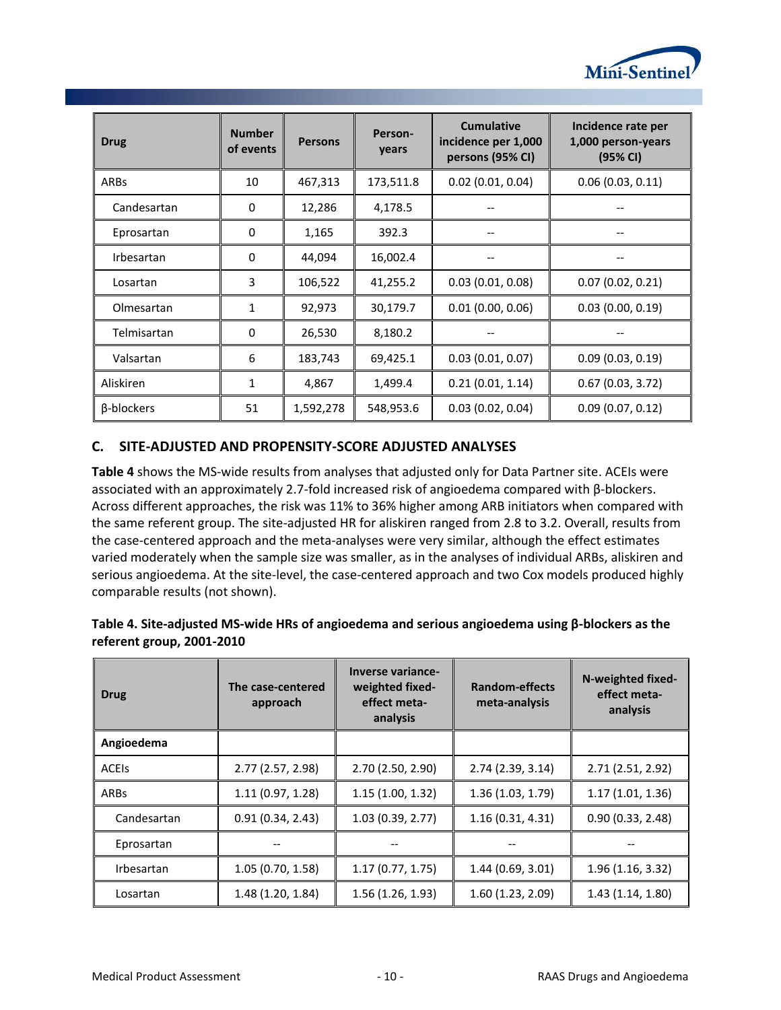

| <b>Drug</b> | <b>Number</b><br>of events | <b>Persons</b> | Person-<br>years | <b>Cumulative</b><br>incidence per 1,000<br>persons (95% CI) | Incidence rate per<br>1,000 person-years<br>(95% CI) |
|-------------|----------------------------|----------------|------------------|--------------------------------------------------------------|------------------------------------------------------|
| ARBs        | 10                         | 467,313        | 173,511.8        | 0.02(0.01, 0.04)                                             | 0.06(0.03, 0.11)                                     |
| Candesartan | 0                          | 12,286         | 4,178.5          |                                                              |                                                      |
| Eprosartan  | 0                          | 1,165          | 392.3            |                                                              |                                                      |
| Irbesartan  | 0                          | 44,094         | 16,002.4         |                                                              |                                                      |
| Losartan    | 3                          | 106,522        | 41,255.2         | 0.03(0.01, 0.08)                                             | 0.07(0.02, 0.21)                                     |
| Olmesartan  | 1                          | 92,973         | 30,179.7         | 0.01(0.00, 0.06)                                             | 0.03(0.00, 0.19)                                     |
| Telmisartan | 0                          | 26,530         | 8,180.2          |                                                              |                                                      |
| Valsartan   | 6                          | 183,743        | 69,425.1         | 0.03(0.01, 0.07)                                             | 0.09(0.03, 0.19)                                     |
| Aliskiren   | 1                          | 4,867          | 1,499.4          | 0.21(0.01, 1.14)                                             | 0.67(0.03, 3.72)                                     |
| β-blockers  | 51                         | 1,592,278      | 548,953.6        | 0.03(0.02, 0.04)                                             | 0.09(0.07, 0.12)                                     |

# <span id="page-11-0"></span>**C. SITE-ADJUSTED AND PROPENSITY-SCORE ADJUSTED ANALYSES**

**[Table 4](#page-11-1)** shows the MS-wide results from analyses that adjusted only for Data Partner site. ACEIs were associated with an approximately 2.7-fold increased risk of angioedema compared with β-blockers. Across different approaches, the risk was 11% to 36% higher among ARB initiators when compared with the same referent group. The site-adjusted HR for aliskiren ranged from 2.8 to 3.2. Overall, results from the case-centered approach and the meta-analyses were very similar, although the effect estimates varied moderately when the sample size was smaller, as in the analyses of individual ARBs, aliskiren and serious angioedema. At the site-level, the case-centered approach and two Cox models produced highly comparable results (not shown).

| <b>Drug</b>       | The case-centered<br>approach | <b>Inverse variance-</b><br>weighted fixed-<br>effect meta-<br>analysis | Random-effects<br>meta-analysis | N-weighted fixed-<br>effect meta-<br>analysis |
|-------------------|-------------------------------|-------------------------------------------------------------------------|---------------------------------|-----------------------------------------------|
| Angioedema        |                               |                                                                         |                                 |                                               |
| <b>ACEIS</b>      | 2.77 (2.57, 2.98)             | 2.70 (2.50, 2.90)                                                       | 2.74 (2.39, 3.14)               | 2.71 (2.51, 2.92)                             |
| ARBs              | 1.11(0.97, 1.28)              | 1.15(1.00, 1.32)                                                        | 1.36(1.03, 1.79)                | 1.17(1.01, 1.36)                              |
| Candesartan       | 0.91(0.34, 2.43)              | 1.03(0.39, 2.77)                                                        | 1.16(0.31, 4.31)                | 0.90(0.33, 2.48)                              |
| Eprosartan        |                               |                                                                         |                                 |                                               |
| <b>Irbesartan</b> | 1.05(0.70, 1.58)              | 1.17(0.77, 1.75)                                                        | 1.44(0.69, 3.01)                | 1.96(1.16, 3.32)                              |
| Losartan          | 1.48(1.20, 1.84)              | 1.56 (1.26, 1.93)                                                       | 1.60(1.23, 2.09)                | 1.43(1.14, 1.80)                              |

# <span id="page-11-1"></span>**Table 4. Site-adjusted MS-wide HRs of angioedema and serious angioedema using β-blockers as the referent group, 2001-2010**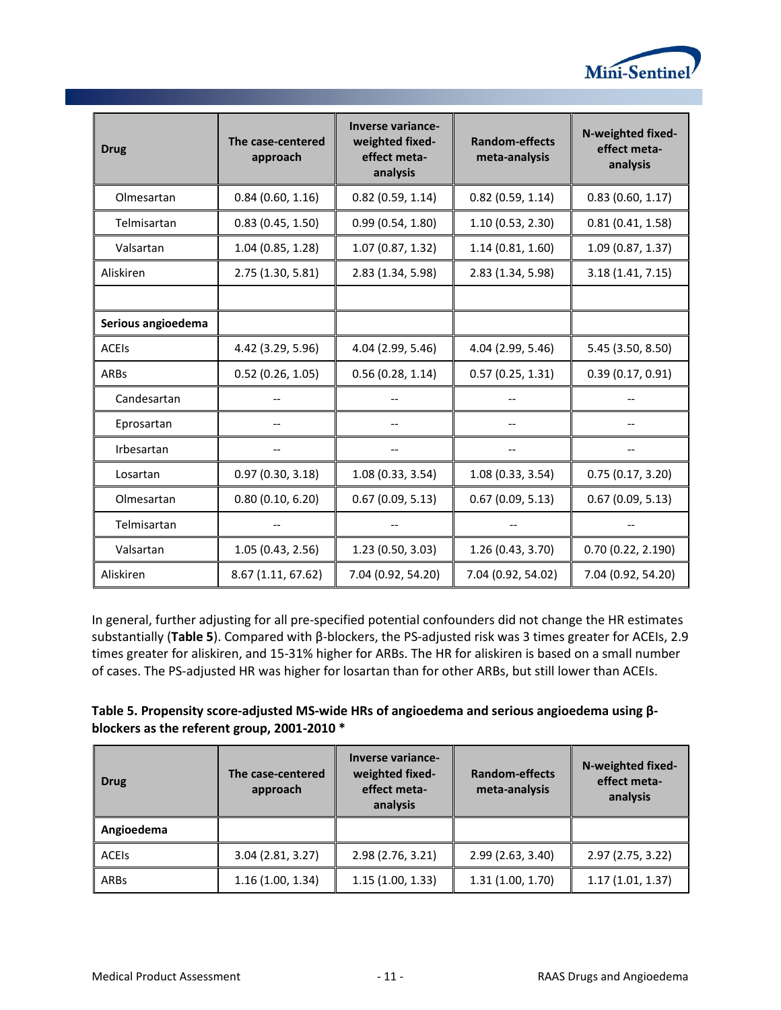

| <b>Drug</b>        | The case-centered<br>approach | <b>Inverse variance-</b><br>weighted fixed-<br>effect meta-<br>analysis | <b>Random-effects</b><br>meta-analysis | N-weighted fixed-<br>effect meta-<br>analysis |
|--------------------|-------------------------------|-------------------------------------------------------------------------|----------------------------------------|-----------------------------------------------|
| Olmesartan         | 0.84(0.60, 1.16)              | 0.82(0.59, 1.14)                                                        | $0.82$ (0.59, 1.14)                    | 0.83(0.60, 1.17)                              |
| Telmisartan        | 0.83(0.45, 1.50)              | 0.99(0.54, 1.80)                                                        | 1.10(0.53, 2.30)                       | 0.81(0.41, 1.58)                              |
| Valsartan          | 1.04 (0.85, 1.28)             | 1.07 (0.87, 1.32)                                                       | 1.14(0.81, 1.60)                       | 1.09 (0.87, 1.37)                             |
| Aliskiren          | 2.75 (1.30, 5.81)             | 2.83 (1.34, 5.98)                                                       | 2.83 (1.34, 5.98)                      | 3.18 (1.41, 7.15)                             |
|                    |                               |                                                                         |                                        |                                               |
| Serious angioedema |                               |                                                                         |                                        |                                               |
| <b>ACEIS</b>       | 4.42 (3.29, 5.96)             | 4.04 (2.99, 5.46)                                                       | 4.04 (2.99, 5.46)                      | 5.45 (3.50, 8.50)                             |
| <b>ARBs</b>        | 0.52(0.26, 1.05)              | 0.56(0.28, 1.14)                                                        | 0.57(0.25, 1.31)                       | 0.39(0.17, 0.91)                              |
| Candesartan        |                               |                                                                         |                                        |                                               |
| Eprosartan         |                               |                                                                         |                                        |                                               |
| Irbesartan         |                               |                                                                         |                                        |                                               |
| Losartan           | 0.97(0.30, 3.18)              | 1.08 (0.33, 3.54)                                                       | 1.08(0.33, 3.54)                       | 0.75(0.17, 3.20)                              |
| Olmesartan         | 0.80(0.10, 6.20)              | 0.67(0.09, 5.13)                                                        | 0.67(0.09, 5.13)                       | 0.67(0.09, 5.13)                              |
| Telmisartan        |                               |                                                                         |                                        |                                               |
| Valsartan          | 1.05(0.43, 2.56)              | 1.23 (0.50, 3.03)                                                       | 1.26(0.43, 3.70)                       | 0.70(0.22, 2.190)                             |
| Aliskiren          | 8.67 (1.11, 67.62)            | 7.04 (0.92, 54.20)                                                      | 7.04 (0.92, 54.02)                     | 7.04 (0.92, 54.20)                            |

In general, further adjusting for all pre-specified potential confounders did not change the HR estimates substantially (**[Table 5](#page-12-0)**). Compared with β-blockers, the PS-adjusted risk was 3 times greater for ACEIs, 2.9 times greater for aliskiren, and 15-31% higher for ARBs. The HR for aliskiren is based on a small number of cases. The PS-adjusted HR was higher for losartan than for other ARBs, but still lower than ACEIs.

<span id="page-12-0"></span>

| Table 5. Propensity score-adjusted MS-wide HRs of angioedema and serious angioedema using $\beta$ - |  |
|-----------------------------------------------------------------------------------------------------|--|
| blockers as the referent group, 2001-2010 *                                                         |  |

| <b>Drug</b>  | The case-centered<br>approach | Inverse variance-<br>weighted fixed-<br>effect meta-<br>analysis | <b>Random-effects</b><br>meta-analysis | N-weighted fixed-<br>effect meta-<br>analysis |
|--------------|-------------------------------|------------------------------------------------------------------|----------------------------------------|-----------------------------------------------|
| Angioedema   |                               |                                                                  |                                        |                                               |
| <b>ACEIS</b> | 3.04 (2.81, 3.27)             | 2.98 (2.76, 3.21)                                                | 2.99(2.63, 3.40)                       | 2.97 (2.75, 3.22)                             |
| ARBs         | 1.16(1.00, 1.34)              | 1.15(1.00, 1.33)                                                 | 1.31(1.00, 1.70)                       | 1.17(1.01, 1.37)                              |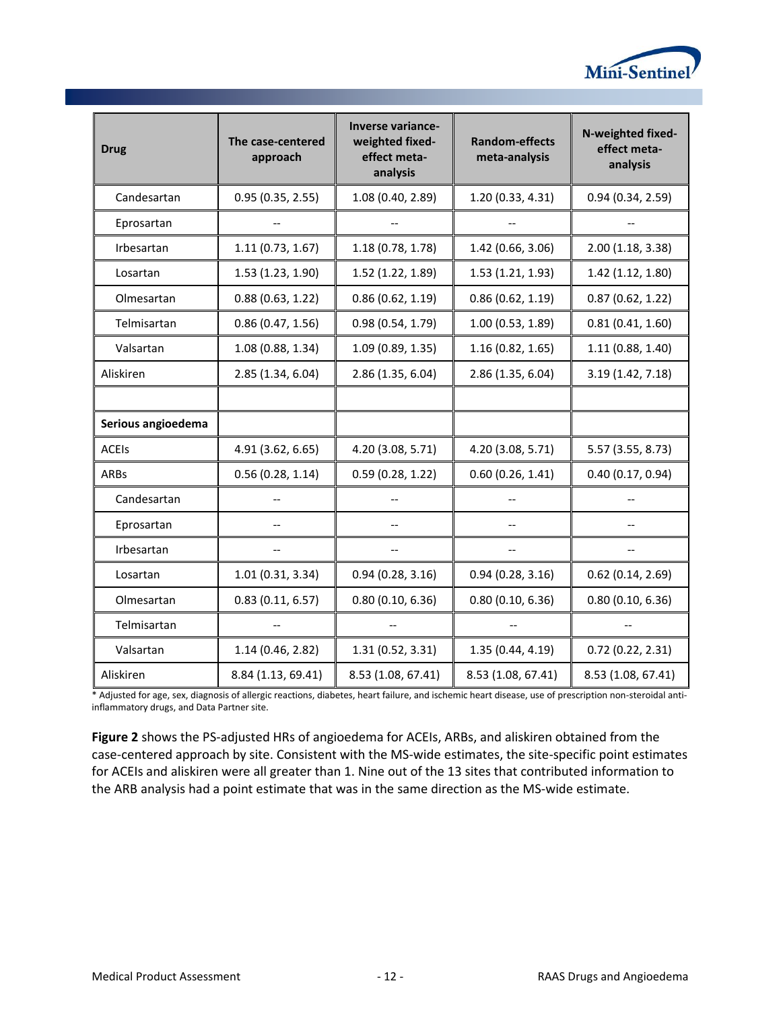

| <b>Drug</b>        | The case-centered<br>approach | <b>Inverse variance-</b><br>weighted fixed-<br>effect meta-<br>analysis | <b>Random-effects</b><br>meta-analysis | N-weighted fixed-<br>effect meta-<br>analysis |
|--------------------|-------------------------------|-------------------------------------------------------------------------|----------------------------------------|-----------------------------------------------|
| Candesartan        | 0.95(0.35, 2.55)              | 1.08 (0.40, 2.89)                                                       | 1.20 (0.33, 4.31)                      | 0.94(0.34, 2.59)                              |
| Eprosartan         |                               |                                                                         |                                        |                                               |
| Irbesartan         | 1.11(0.73, 1.67)              | 1.18 (0.78, 1.78)                                                       | 1.42 (0.66, 3.06)                      | 2.00 (1.18, 3.38)                             |
| Losartan           | 1.53 (1.23, 1.90)             | 1.52 (1.22, 1.89)                                                       | 1.53 (1.21, 1.93)                      | 1.42 (1.12, 1.80)                             |
| Olmesartan         | 0.88(0.63, 1.22)              | 0.86(0.62, 1.19)                                                        | 0.86(0.62, 1.19)                       | 0.87(0.62, 1.22)                              |
| Telmisartan        | 0.86(0.47, 1.56)              | 0.98(0.54, 1.79)                                                        | 1.00 (0.53, 1.89)                      | 0.81(0.41, 1.60)                              |
| Valsartan          | 1.08(0.88, 1.34)              | 1.09 (0.89, 1.35)                                                       | 1.16(0.82, 1.65)                       | 1.11(0.88, 1.40)                              |
| Aliskiren          | 2.85 (1.34, 6.04)             | 2.86 (1.35, 6.04)                                                       | 2.86 (1.35, 6.04)                      | 3.19 (1.42, 7.18)                             |
|                    |                               |                                                                         |                                        |                                               |
| Serious angioedema |                               |                                                                         |                                        |                                               |
| <b>ACEIS</b>       | 4.91 (3.62, 6.65)             | 4.20 (3.08, 5.71)                                                       | 4.20 (3.08, 5.71)                      | 5.57 (3.55, 8.73)                             |
| ARBs               | 0.56(0.28, 1.14)              | 0.59(0.28, 1.22)                                                        | 0.60(0.26, 1.41)                       | 0.40(0.17, 0.94)                              |
| Candesartan        | $-$                           |                                                                         | $-$                                    | $\overline{a}$                                |
| Eprosartan         | --                            |                                                                         | --                                     | $-$                                           |
| Irbesartan         | $\overline{\phantom{a}}$      | $-$                                                                     | $-$                                    | $\hspace{0.05cm}$ – $\hspace{0.05cm}$         |
| Losartan           | 1.01(0.31, 3.34)              | 0.94(0.28, 3.16)                                                        | 0.94(0.28, 3.16)                       | $0.62$ (0.14, 2.69)                           |
| Olmesartan         | 0.83(0.11, 6.57)              | 0.80(0.10, 6.36)                                                        | 0.80(0.10, 6.36)                       | 0.80(0.10, 6.36)                              |
| Telmisartan        |                               |                                                                         |                                        |                                               |
| Valsartan          | 1.14(0.46, 2.82)              | 1.31 (0.52, 3.31)                                                       | 1.35 (0.44, 4.19)                      | $0.72$ (0.22, 2.31)                           |
| Aliskiren          | 8.84 (1.13, 69.41)            | 8.53 (1.08, 67.41)                                                      | 8.53 (1.08, 67.41)                     | 8.53 (1.08, 67.41)                            |

\* Adjusted for age, sex, diagnosis of allergic reactions, diabetes, heart failure, and ischemic heart disease, use of prescription non-steroidal antiinflammatory drugs, and Data Partner site.

**[Figure 2](#page-14-1)** shows the PS-adjusted HRs of angioedema for ACEIs, ARBs, and aliskiren obtained from the case-centered approach by site. Consistent with the MS-wide estimates, the site-specific point estimates for ACEIs and aliskiren were all greater than 1. Nine out of the 13 sites that contributed information to the ARB analysis had a point estimate that was in the same direction as the MS-wide estimate.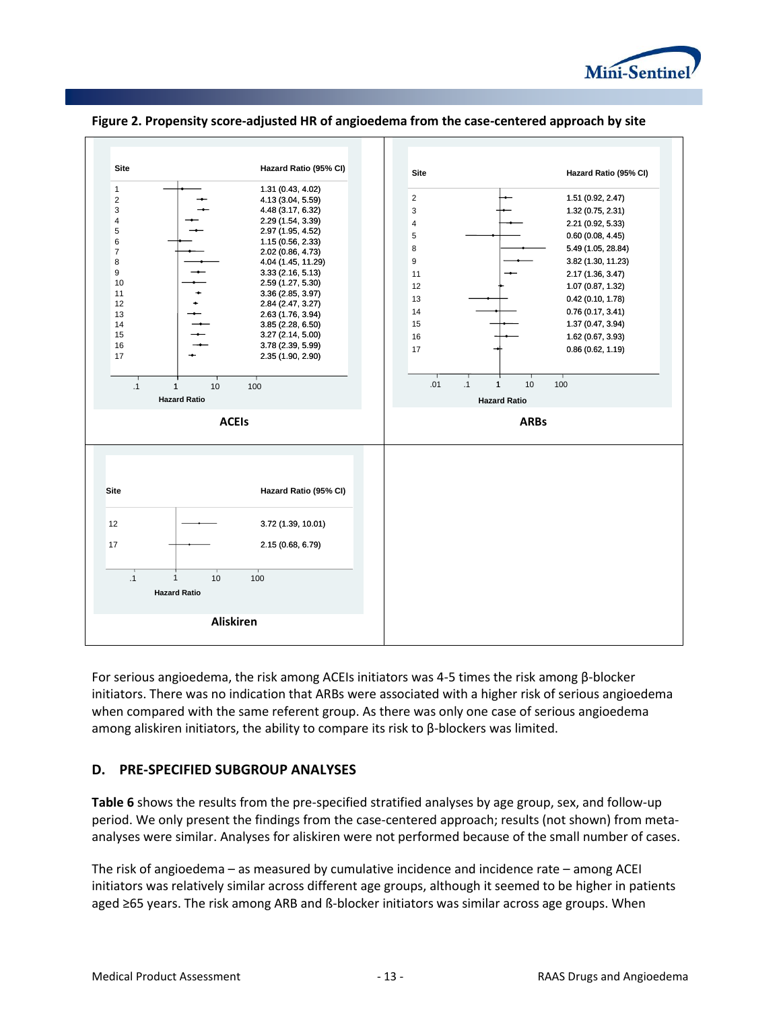



#### <span id="page-14-1"></span>**Figure 2. Propensity score-adjusted HR of angioedema from the case-centered approach by site**

For serious angioedema, the risk among ACEIs initiators was 4-5 times the risk among β-blocker initiators. There was no indication that ARBs were associated with a higher risk of serious angioedema when compared with the same referent group. As there was only one case of serious angioedema among aliskiren initiators, the ability to compare its risk to β-blockers was limited.

### <span id="page-14-0"></span>**D. PRE-SPECIFIED SUBGROUP ANALYSES**

**[Table 6](#page-15-0)** shows the results from the pre-specified stratified analyses by age group, sex, and follow-up period. We only present the findings from the case-centered approach; results (not shown) from metaanalyses were similar. Analyses for aliskiren were not performed because of the small number of cases.

The risk of angioedema – as measured by cumulative incidence and incidence rate – among ACEI initiators was relatively similar across different age groups, although it seemed to be higher in patients aged ≥65 years. The risk among ARB and ß-blocker initiators was similar across age groups. When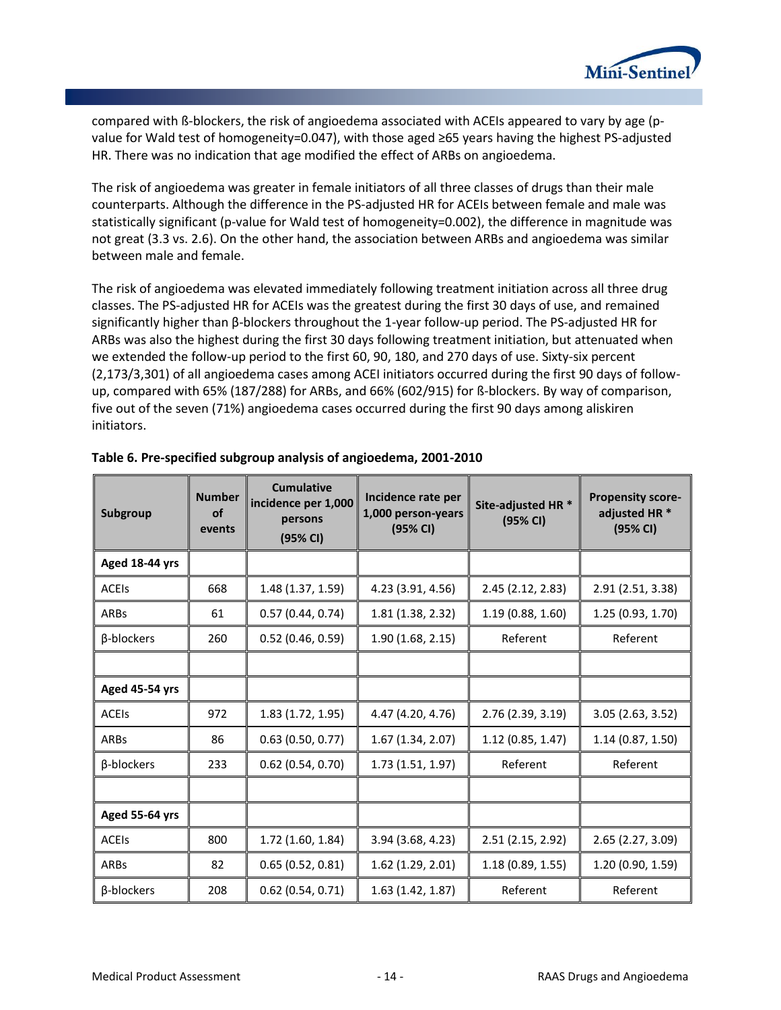

compared with ß-blockers, the risk of angioedema associated with ACEIs appeared to vary by age (pvalue for Wald test of homogeneity=0.047), with those aged ≥65 years having the highest PS-adjusted HR. There was no indication that age modified the effect of ARBs on angioedema.

The risk of angioedema was greater in female initiators of all three classes of drugs than their male counterparts. Although the difference in the PS-adjusted HR for ACEIs between female and male was statistically significant (p-value for Wald test of homogeneity=0.002), the difference in magnitude was not great (3.3 vs. 2.6). On the other hand, the association between ARBs and angioedema was similar between male and female.

The risk of angioedema was elevated immediately following treatment initiation across all three drug classes. The PS-adjusted HR for ACEIs was the greatest during the first 30 days of use, and remained significantly higher than β-blockers throughout the 1-year follow-up period. The PS-adjusted HR for ARBs was also the highest during the first 30 days following treatment initiation, but attenuated when we extended the follow-up period to the first 60, 90, 180, and 270 days of use. Sixty-six percent (2,173/3,301) of all angioedema cases among ACEI initiators occurred during the first 90 days of followup, compared with 65% (187/288) for ARBs, and 66% (602/915) for ß-blockers. By way of comparison, five out of the seven (71%) angioedema cases occurred during the first 90 days among aliskiren initiators.

| Subgroup       | <b>Number</b><br><b>of</b><br>events | <b>Cumulative</b><br>incidence per 1,000<br>persons<br>(95% CI) | Incidence rate per<br>1,000 person-years<br>(95% CI) | Site-adjusted HR <sup>*</sup><br>(95% CI) |                   |
|----------------|--------------------------------------|-----------------------------------------------------------------|------------------------------------------------------|-------------------------------------------|-------------------|
| Aged 18-44 yrs |                                      |                                                                 |                                                      |                                           |                   |
| <b>ACEIS</b>   | 668                                  | 1.48 (1.37, 1.59)                                               | 4.23 (3.91, 4.56)                                    | 2.45(2.12, 2.83)                          | 2.91 (2.51, 3.38) |
| <b>ARBs</b>    | 61                                   | 0.57(0.44, 0.74)                                                | 1.81 (1.38, 2.32)                                    | 1.19(0.88, 1.60)                          | 1.25 (0.93, 1.70) |
| β-blockers     | 260                                  | 0.52(0.46, 0.59)                                                | 1.90 (1.68, 2.15)                                    | Referent                                  | Referent          |
|                |                                      |                                                                 |                                                      |                                           |                   |
| Aged 45-54 yrs |                                      |                                                                 |                                                      |                                           |                   |
| <b>ACEIS</b>   | 972                                  | 1.83 (1.72, 1.95)                                               | 4.47 (4.20, 4.76)                                    | 2.76 (2.39, 3.19)                         | 3.05(2.63, 3.52)  |
| <b>ARBs</b>    | 86                                   | 0.63(0.50, 0.77)                                                | 1.67 (1.34, 2.07)                                    | 1.12(0.85, 1.47)                          | 1.14(0.87, 1.50)  |
| β-blockers     | 233                                  | $0.62$ (0.54, 0.70)                                             | 1.73 (1.51, 1.97)                                    | Referent                                  | Referent          |
|                |                                      |                                                                 |                                                      |                                           |                   |
| Aged 55-64 yrs |                                      |                                                                 |                                                      |                                           |                   |
| <b>ACEIS</b>   | 800                                  | 1.72(1.60, 1.84)                                                | 3.94 (3.68, 4.23)                                    | 2.51 (2.15, 2.92)                         | 2.65 (2.27, 3.09) |
| <b>ARBs</b>    | 82                                   | 0.65(0.52, 0.81)                                                | 1.62 (1.29, 2.01)                                    | 1.18(0.89, 1.55)                          | 1.20 (0.90, 1.59) |
| β-blockers     | 208                                  | $0.62$ (0.54, 0.71)                                             | 1.63(1.42, 1.87)                                     | Referent                                  | Referent          |

#### <span id="page-15-0"></span>**Table 6. Pre-specified subgroup analysis of angioedema, 2001-2010**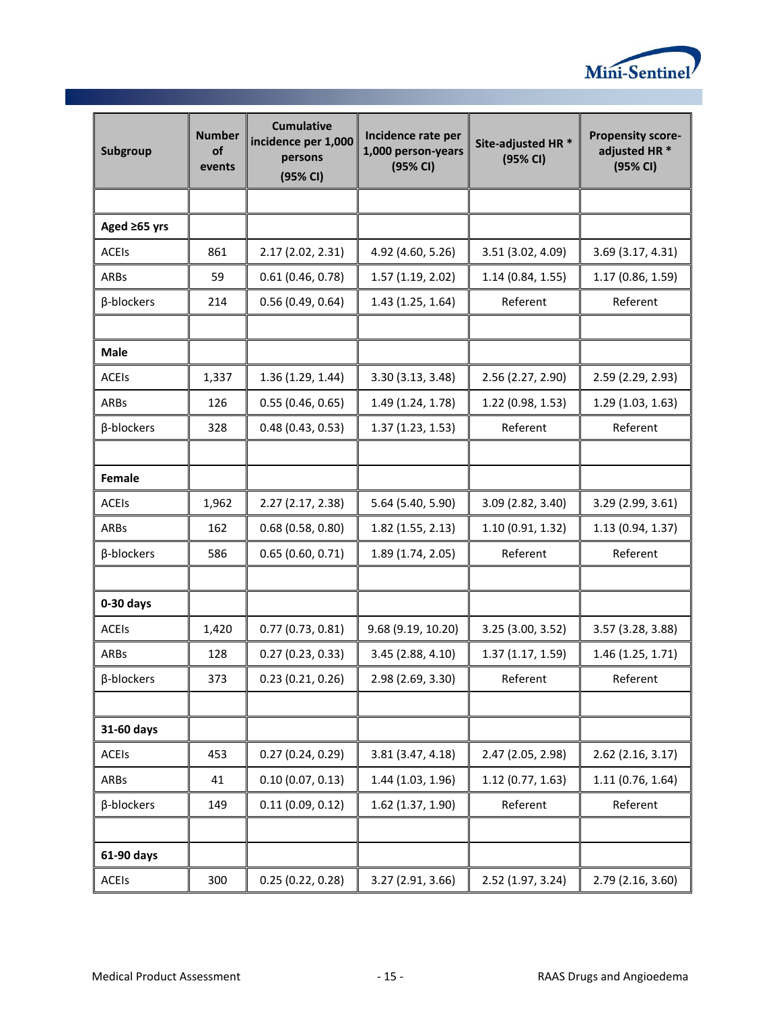

| Subgroup          | <b>Number</b><br>οf<br>events | <b>Cumulative</b><br>incidence per 1,000<br>persons<br>(95% CI) | Incidence rate per<br>1,000 person-years<br>(95% CI) | Site-adjusted HR *<br>(95% CI) | <b>Propensity score-</b><br>adjusted HR <sup>*</sup><br>(95% CI) |
|-------------------|-------------------------------|-----------------------------------------------------------------|------------------------------------------------------|--------------------------------|------------------------------------------------------------------|
|                   |                               |                                                                 |                                                      |                                |                                                                  |
| Aged ≥65 yrs      |                               |                                                                 |                                                      |                                |                                                                  |
| <b>ACEIS</b>      | 861                           | 2.17 (2.02, 2.31)                                               | 4.92 (4.60, 5.26)                                    | 3.51 (3.02, 4.09)              | 3.69 (3.17, 4.31)                                                |
| ARBs              | 59                            | 0.61(0.46, 0.78)                                                | 1.57(1.19, 2.02)                                     | 1.14(0.84, 1.55)               | 1.17 (0.86, 1.59)                                                |
| β-blockers        | 214                           | 0.56(0.49, 0.64)                                                | 1.43(1.25, 1.64)                                     | Referent                       | Referent                                                         |
| Male              |                               |                                                                 |                                                      |                                |                                                                  |
| <b>ACEIS</b>      | 1,337                         | 1.36(1.29, 1.44)                                                | 3.30(3.13, 3.48)                                     | 2.56 (2.27, 2.90)              | 2.59 (2.29, 2.93)                                                |
| ARBs              | 126                           | 0.55(0.46, 0.65)                                                | 1.49 (1.24, 1.78)                                    | 1.22(0.98, 1.53)               | 1.29(1.03, 1.63)                                                 |
| β-blockers        | 328                           | 0.48(0.43, 0.53)                                                | 1.37(1.23, 1.53)                                     | Referent                       | Referent                                                         |
| Female            |                               |                                                                 |                                                      |                                |                                                                  |
| <b>ACEIS</b>      | 1,962                         | 2.27(2.17, 2.38)                                                | 5.64 (5.40, 5.90)                                    | 3.09 (2.82, 3.40)              | 3.29 (2.99, 3.61)                                                |
| ARBs              | 162                           | 0.68(0.58, 0.80)                                                | $1.82$ (1.55, 2.13)                                  | 1.10(0.91, 1.32)               | 1.13(0.94, 1.37)                                                 |
| β-blockers        | 586                           | 0.65(0.60, 0.71)                                                | 1.89 (1.74, 2.05)                                    | Referent                       | Referent                                                         |
|                   |                               |                                                                 |                                                      |                                |                                                                  |
| $0-30$ days       |                               |                                                                 |                                                      |                                |                                                                  |
| <b>ACEIS</b>      | 1,420                         | 0.77(0.73, 0.81)                                                | 9.68 (9.19, 10.20)                                   | 3.25 (3.00, 3.52)              | 3.57 (3.28, 3.88)                                                |
| ARBs              | 128                           | 0.27(0.23, 0.33)                                                | 3.45 (2.88, 4.10)                                    | 1.37(1.17, 1.59)               | 1.46 (1.25, 1.71)                                                |
| $\beta$ -blockers | 373                           | 0.23(0.21, 0.26)                                                | 2.98 (2.69, 3.30)                                    | Referent                       | Referent                                                         |
| 31-60 days        |                               |                                                                 |                                                      |                                |                                                                  |
| <b>ACEIS</b>      | 453                           | 0.27(0.24, 0.29)                                                | 3.81 (3.47, 4.18)                                    | 2.47 (2.05, 2.98)              | 2.62 (2.16, 3.17)                                                |
| ARBs              | 41                            | 0.10(0.07, 0.13)                                                | 1.44 (1.03, 1.96)                                    | 1.12(0.77, 1.63)               | 1.11 (0.76, 1.64)                                                |
| β-blockers        | 149                           | 0.11(0.09, 0.12)                                                | 1.62 (1.37, 1.90)                                    | Referent                       | Referent                                                         |
| 61-90 days        |                               |                                                                 |                                                      |                                |                                                                  |
| <b>ACEIS</b>      | 300                           | 0.25(0.22, 0.28)                                                | 3.27 (2.91, 3.66)                                    | 2.52 (1.97, 3.24)              | 2.79 (2.16, 3.60)                                                |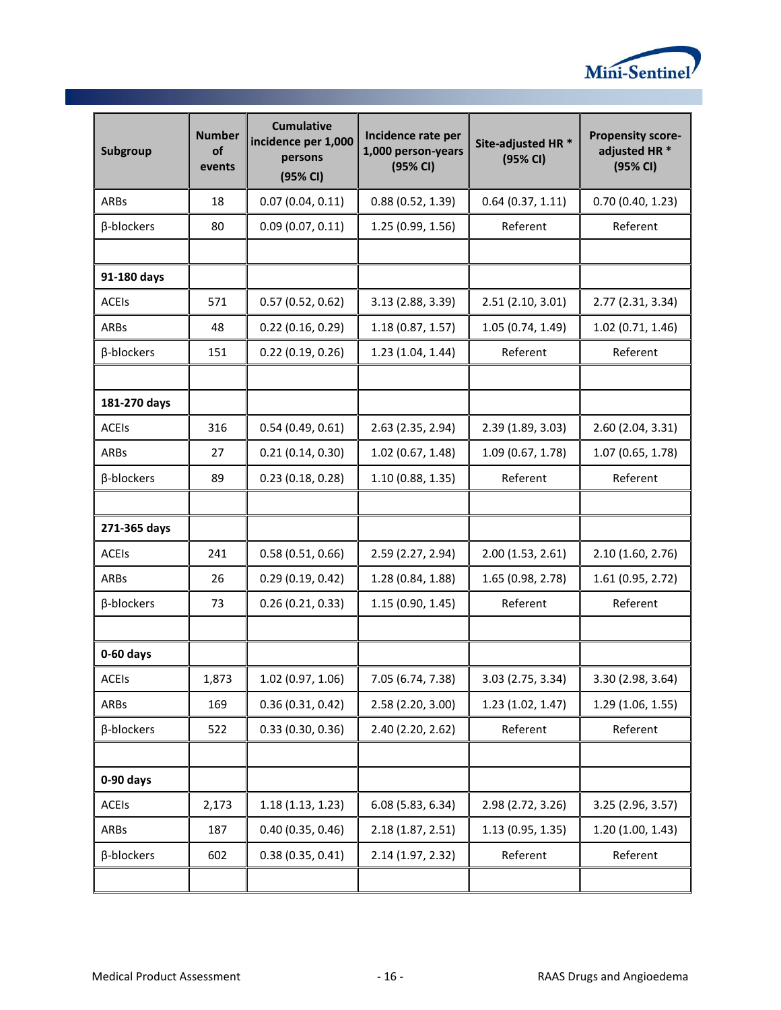

| Subgroup     | <b>Number</b><br>of<br>events | <b>Cumulative</b><br>incidence per 1,000<br>persons<br>(95% CI) | Incidence rate per<br>1,000 person-years<br>(95% CI) | Site-adjusted HR <sup>*</sup><br>(95% CI) |                   |
|--------------|-------------------------------|-----------------------------------------------------------------|------------------------------------------------------|-------------------------------------------|-------------------|
| ARBs         | 18                            | 0.07(0.04, 0.11)                                                | 0.88(0.52, 1.39)                                     | 0.64(0.37, 1.11)                          | 0.70(0.40, 1.23)  |
| β-blockers   | 80                            | 0.09(0.07, 0.11)                                                | 1.25 (0.99, 1.56)                                    | Referent                                  | Referent          |
|              |                               |                                                                 |                                                      |                                           |                   |
| 91-180 days  |                               |                                                                 |                                                      |                                           |                   |
| <b>ACEIS</b> | 571                           | 0.57(0.52, 0.62)                                                | 3.13 (2.88, 3.39)                                    | 2.51(2.10, 3.01)                          | 2.77 (2.31, 3.34) |
| <b>ARBs</b>  | 48                            | 0.22(0.16, 0.29)                                                | 1.18(0.87, 1.57)                                     | 1.05(0.74, 1.49)                          | 1.02 (0.71, 1.46) |
| β-blockers   | 151                           | 0.22(0.19, 0.26)                                                | 1.23(1.04, 1.44)                                     | Referent                                  | Referent          |
|              |                               |                                                                 |                                                      |                                           |                   |
| 181-270 days |                               |                                                                 |                                                      |                                           |                   |
| <b>ACEIs</b> | 316                           | 0.54(0.49, 0.61)                                                | 2.63 (2.35, 2.94)                                    | 2.39 (1.89, 3.03)                         | 2.60 (2.04, 3.31) |
| ARBs         | 27                            | 0.21(0.14, 0.30)                                                | 1.02(0.67, 1.48)                                     | 1.09(0.67, 1.78)                          | 1.07 (0.65, 1.78) |
| β-blockers   | 89                            | 0.23(0.18, 0.28)                                                | 1.10(0.88, 1.35)                                     | Referent                                  | Referent          |
|              |                               |                                                                 |                                                      |                                           |                   |
| 271-365 days |                               |                                                                 |                                                      |                                           |                   |
| <b>ACEIS</b> | 241                           | 0.58(0.51, 0.66)                                                | 2.59 (2.27, 2.94)                                    | 2.00(1.53, 2.61)                          | 2.10 (1.60, 2.76) |
| ARBs         | 26                            | 0.29(0.19, 0.42)                                                | 1.28 (0.84, 1.88)                                    | 1.65 (0.98, 2.78)                         | 1.61 (0.95, 2.72) |
| β-blockers   | 73                            | 0.26(0.21, 0.33)                                                | 1.15(0.90, 1.45)                                     | Referent                                  | Referent          |
|              |                               |                                                                 |                                                      |                                           |                   |
| $0-60$ days  |                               |                                                                 |                                                      |                                           |                   |
| <b>ACEIS</b> | 1,873                         | 1.02 (0.97, 1.06)                                               | 7.05 (6.74, 7.38)                                    | 3.03 (2.75, 3.34)                         | 3.30 (2.98, 3.64) |
| ARBs         | 169                           | 0.36(0.31, 0.42)                                                | 2.58 (2.20, 3.00)                                    | 1.23(1.02, 1.47)                          | 1.29 (1.06, 1.55) |
| β-blockers   | 522                           | 0.33(0.30, 0.36)                                                | 2.40 (2.20, 2.62)                                    | Referent                                  | Referent          |
|              |                               |                                                                 |                                                      |                                           |                   |
| 0-90 days    |                               |                                                                 |                                                      |                                           |                   |
| <b>ACEIS</b> | 2,173                         | 1.18(1.13, 1.23)                                                | 6.08 (5.83, 6.34)                                    | 2.98 (2.72, 3.26)                         | 3.25 (2.96, 3.57) |
| ARBs         | 187                           | 0.40(0.35, 0.46)                                                | 2.18(1.87, 2.51)                                     | 1.13 (0.95, 1.35)                         | 1.20 (1.00, 1.43) |
| β-blockers   | 602                           | 0.38(0.35, 0.41)                                                | 2.14 (1.97, 2.32)                                    | Referent                                  | Referent          |
|              |                               |                                                                 |                                                      |                                           |                   |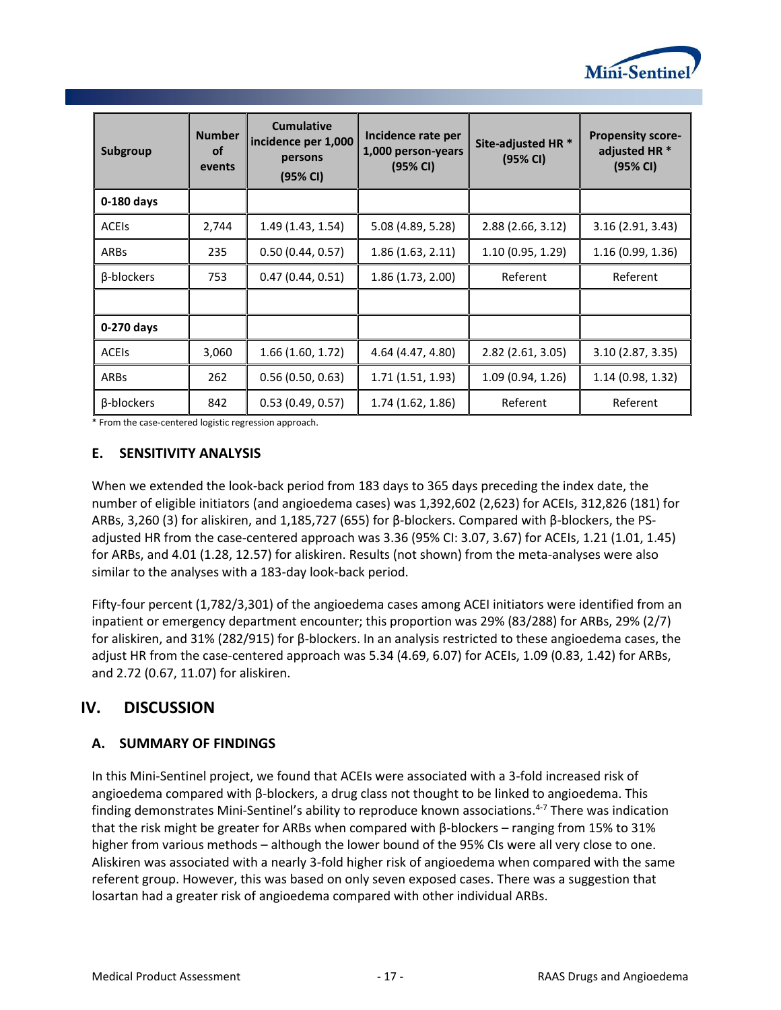

| Subgroup          | <b>Number</b><br><b>of</b><br>events | <b>Cumulative</b><br>incidence per 1,000<br>persons<br>(95% CI) | Incidence rate per<br>1,000 person-years<br>(95% CI) | Site-adjusted HR <sup>*</sup><br>(95% CI) | <b>Propensity score-</b><br>adjusted HR *<br>(95% CI) |
|-------------------|--------------------------------------|-----------------------------------------------------------------|------------------------------------------------------|-------------------------------------------|-------------------------------------------------------|
| 0-180 days        |                                      |                                                                 |                                                      |                                           |                                                       |
| <b>ACEIS</b>      | 2,744                                | 1.49(1.43, 1.54)                                                | 5.08 (4.89, 5.28)                                    | 2.88 (2.66, 3.12)                         | 3.16(2.91, 3.43)                                      |
| <b>ARBs</b>       | 235                                  | 0.50(0.44, 0.57)                                                | 1.86(1.63, 2.11)                                     | 1.10(0.95, 1.29)                          | 1.16 (0.99, 1.36)                                     |
| β-blockers        | 753                                  | 0.47(0.44, 0.51)                                                | 1.86 (1.73, 2.00)                                    | Referent                                  | Referent                                              |
|                   |                                      |                                                                 |                                                      |                                           |                                                       |
| 0-270 days        |                                      |                                                                 |                                                      |                                           |                                                       |
| <b>ACEIS</b>      | 3,060                                | 1.66(1.60, 1.72)                                                | 4.64 (4.47, 4.80)                                    | 2.82 (2.61, 3.05)                         | 3.10(2.87, 3.35)                                      |
| <b>ARBs</b>       | 262                                  | 0.56(0.50, 0.63)                                                | 1.71(1.51, 1.93)                                     | 1.09(0.94, 1.26)                          | 1.14 (0.98, 1.32)                                     |
| $\beta$ -blockers | 842                                  | 0.53(0.49, 0.57)                                                | 1.74 (1.62, 1.86)                                    | Referent                                  | Referent                                              |

<span id="page-18-0"></span>\* From the case-centered logistic regression approach.

# **E. SENSITIVITY ANALYSIS**

When we extended the look-back period from 183 days to 365 days preceding the index date, the number of eligible initiators (and angioedema cases) was 1,392,602 (2,623) for ACEIs, 312,826 (181) for ARBs, 3,260 (3) for aliskiren, and 1,185,727 (655) for β-blockers. Compared with β-blockers, the PSadjusted HR from the case-centered approach was 3.36 (95% CI: 3.07, 3.67) for ACEIs, 1.21 (1.01, 1.45) for ARBs, and 4.01 (1.28, 12.57) for aliskiren. Results (not shown) from the meta-analyses were also similar to the analyses with a 183-day look-back period.

Fifty-four percent (1,782/3,301) of the angioedema cases among ACEI initiators were identified from an inpatient or emergency department encounter; this proportion was 29% (83/288) for ARBs, 29% (2/7) for aliskiren, and 31% (282/915) for β-blockers. In an analysis restricted to these angioedema cases, the adjust HR from the case-centered approach was 5.34 (4.69, 6.07) for ACEIs, 1.09 (0.83, 1.42) for ARBs, and 2.72 (0.67, 11.07) for aliskiren.

# <span id="page-18-1"></span>**IV. DISCUSSION**

# <span id="page-18-2"></span>**A. SUMMARY OF FINDINGS**

In this Mini-Sentinel project, we found that ACEIs were associated with a 3-fold increased risk of angioedema compared with β-blockers, a drug class not thought to be linked to angioedema. This finding demonstrates Mini-Sentinel's ability to reproduce known associations. 4-7 There was indication that the risk might be greater for ARBs when compared with β-blockers – ranging from 15% to 31% higher from various methods – although the lower bound of the 95% CIs were all very close to one. Aliskiren was associated with a nearly 3-fold higher risk of angioedema when compared with the same referent group. However, this was based on only seven exposed cases. There was a suggestion that losartan had a greater risk of angioedema compared with other individual ARBs.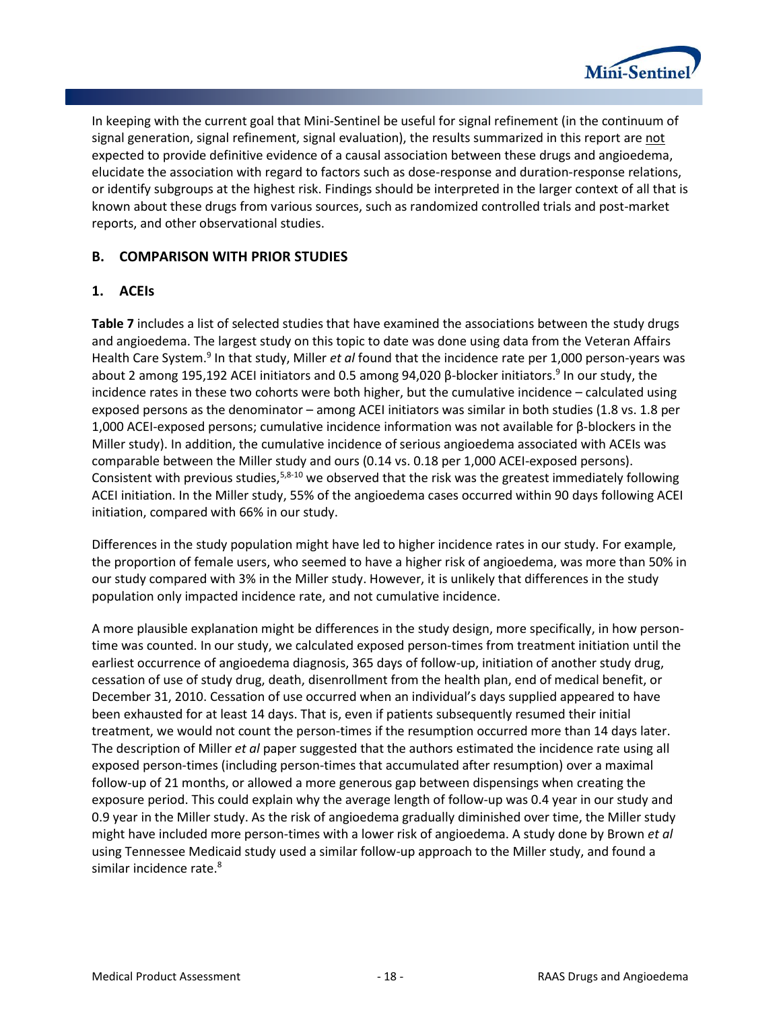

In keeping with the current goal that Mini-Sentinel be useful for signal refinement (in the continuum of signal generation, signal refinement, signal evaluation), the results summarized in this report are not expected to provide definitive evidence of a causal association between these drugs and angioedema, elucidate the association with regard to factors such as dose-response and duration-response relations, or identify subgroups at the highest risk. Findings should be interpreted in the larger context of all that is known about these drugs from various sources, such as randomized controlled trials and post-market reports, and other observational studies.

### <span id="page-19-0"></span>**B. COMPARISON WITH PRIOR STUDIES**

### **1. ACEIs**

**[Table 7](#page-20-0)** includes a list of selected studies that have examined the associations between the study drugs and angioedema. The largest study on this topic to date was done using data from the Veteran Affairs Health Care System.<sup>9</sup> In that study, Miller *et al* found that the incidence rate per 1,000 person-years was about 2 among 195,192 ACEI initiators and 0.5 among 94,020 β-blocker initiators.<sup>9</sup> In our study, the incidence rates in these two cohorts were both higher, but the cumulative incidence – calculated using exposed persons as the denominator – among ACEI initiators was similar in both studies (1.8 vs. 1.8 per 1,000 ACEI-exposed persons; cumulative incidence information was not available for β-blockers in the Miller study). In addition, the cumulative incidence of serious angioedema associated with ACEIs was comparable between the Miller study and ours (0.14 vs. 0.18 per 1,000 ACEI-exposed persons). Consistent with previous studies,5,8-10 we observed that the risk was the greatest immediately following ACEI initiation. In the Miller study, 55% of the angioedema cases occurred within 90 days following ACEI initiation, compared with 66% in our study.

Differences in the study population might have led to higher incidence rates in our study. For example, the proportion of female users, who seemed to have a higher risk of angioedema, was more than 50% in our study compared with 3% in the Miller study. However, it is unlikely that differences in the study population only impacted incidence rate, and not cumulative incidence.

A more plausible explanation might be differences in the study design, more specifically, in how persontime was counted. In our study, we calculated exposed person-times from treatment initiation until the earliest occurrence of angioedema diagnosis, 365 days of follow-up, initiation of another study drug, cessation of use of study drug, death, disenrollment from the health plan, end of medical benefit, or December 31, 2010. Cessation of use occurred when an individual's days supplied appeared to have been exhausted for at least 14 days. That is, even if patients subsequently resumed their initial treatment, we would not count the person-times if the resumption occurred more than 14 days later. The description of Miller *et al* paper suggested that the authors estimated the incidence rate using all exposed person-times (including person-times that accumulated after resumption) over a maximal follow-up of 21 months, or allowed a more generous gap between dispensings when creating the exposure period. This could explain why the average length of follow-up was 0.4 year in our study and 0.9 year in the Miller study. As the risk of angioedema gradually diminished over time, the Miller study might have included more person-times with a lower risk of angioedema. A study done by Brown *et al* using Tennessee Medicaid study used a similar follow-up approach to the Miller study, and found a similar incidence rate.<sup>8</sup>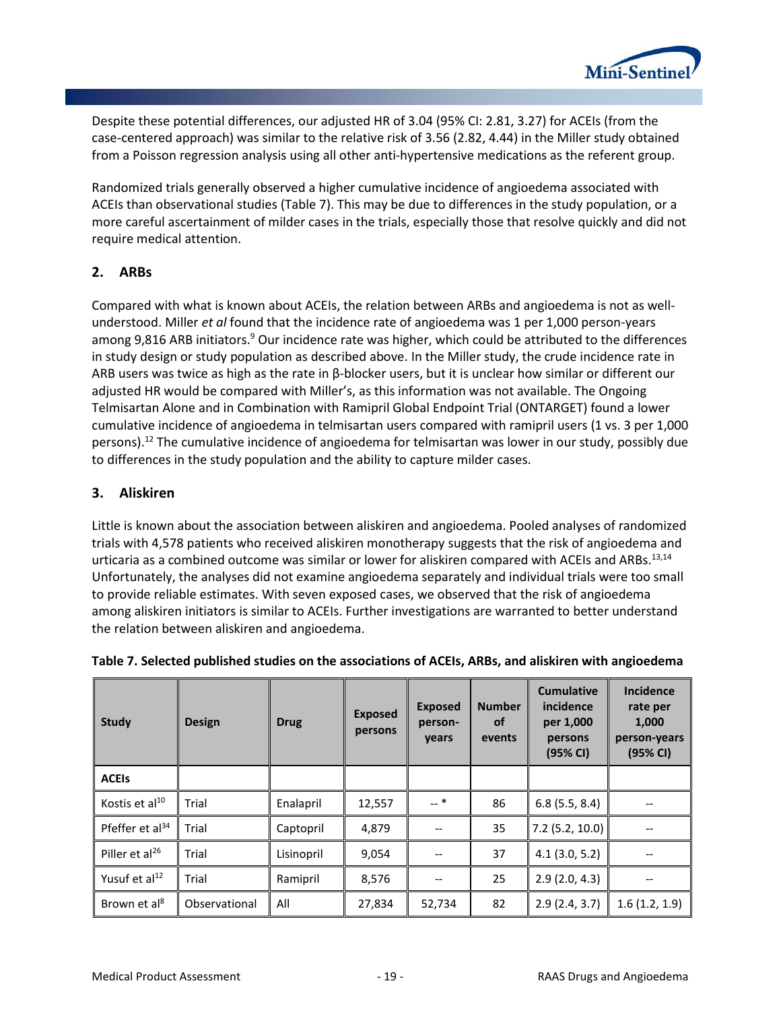

Despite these potential differences, our adjusted HR of 3.04 (95% CI: 2.81, 3.27) for ACEIs (from the case-centered approach) was similar to the relative risk of 3.56 (2.82, 4.44) in the Miller study obtained from a Poisson regression analysis using all other anti-hypertensive medications as the referent group.

Randomized trials generally observed a higher cumulative incidence of angioedema associated with ACEIs than observational studies (Table 7). This may be due to differences in the study population, or a more careful ascertainment of milder cases in the trials, especially those that resolve quickly and did not require medical attention.

### **2. ARBs**

Compared with what is known about ACEIs, the relation between ARBs and angioedema is not as wellunderstood. Miller *et al* found that the incidence rate of angioedema was 1 per 1,000 person-years among 9,816 ARB initiators.<sup>9</sup> Our incidence rate was higher, which could be attributed to the differences in study design or study population as described above. In the Miller study, the crude incidence rate in ARB users was twice as high as the rate in β-blocker users, but it is unclear how similar or different our adjusted HR would be compared with Miller's, as this information was not available. The Ongoing Telmisartan Alone and in Combination with Ramipril Global Endpoint Trial (ONTARGET) found a lower cumulative incidence of angioedema in telmisartan users compared with ramipril users (1 vs. 3 per 1,000 persons).<sup>12</sup> The cumulative incidence of angioedema for telmisartan was lower in our study, possibly due to differences in the study population and the ability to capture milder cases.

# **3. Aliskiren**

Little is known about the association between aliskiren and angioedema. Pooled analyses of randomized trials with 4,578 patients who received aliskiren monotherapy suggests that the risk of angioedema and urticaria as a combined outcome was similar or lower for aliskiren compared with ACEIs and ARBs.<sup>13,14</sup> Unfortunately, the analyses did not examine angioedema separately and individual trials were too small to provide reliable estimates. With seven exposed cases, we observed that the risk of angioedema among aliskiren initiators is similar to ACEIs. Further investigations are warranted to better understand the relation between aliskiren and angioedema.

| <b>Study</b>                | <b>Design</b> | <b>Drug</b> | <b>Exposed</b><br>persons | <b>Exposed</b><br>person-<br>years | <b>Number</b><br><b>of</b><br>events | <b>Cumulative</b><br>incidence<br>per 1,000<br>persons<br>(95% CI) | <b>Incidence</b><br>rate per<br>1,000<br>person-years<br>(95% CI) |
|-----------------------------|---------------|-------------|---------------------------|------------------------------------|--------------------------------------|--------------------------------------------------------------------|-------------------------------------------------------------------|
| <b>ACEIS</b>                |               |             |                           |                                    |                                      |                                                                    |                                                                   |
| Kostis et al <sup>10</sup>  | Trial         | Enalapril   | 12,557                    | $-$ *                              | 86                                   | 6.8(5.5, 8.4)                                                      |                                                                   |
| Pfeffer et al <sup>34</sup> | Trial         | Captopril   | 4,879                     |                                    | 35                                   | $7.2$ (5.2, 10.0)                                                  |                                                                   |
| Piller et al <sup>26</sup>  | Trial         | Lisinopril  | 9,054                     |                                    | 37                                   | 4.1(3.0, 5.2)                                                      |                                                                   |
| Yusuf et al <sup>12</sup>   | Trial         | Ramipril    | 8,576                     |                                    | 25                                   | 2.9(2.0, 4.3)                                                      |                                                                   |
| Brown et al <sup>8</sup>    | Observational | All         | 27,834                    | 52,734                             | 82                                   | 2.9(2.4, 3.7)                                                      | 1.6(1.2, 1.9)                                                     |

<span id="page-20-0"></span>

|  |  |  | Table 7. Selected published studies on the associations of ACEIs, ARBs, and aliskiren with angioedema |  |  |
|--|--|--|-------------------------------------------------------------------------------------------------------|--|--|
|--|--|--|-------------------------------------------------------------------------------------------------------|--|--|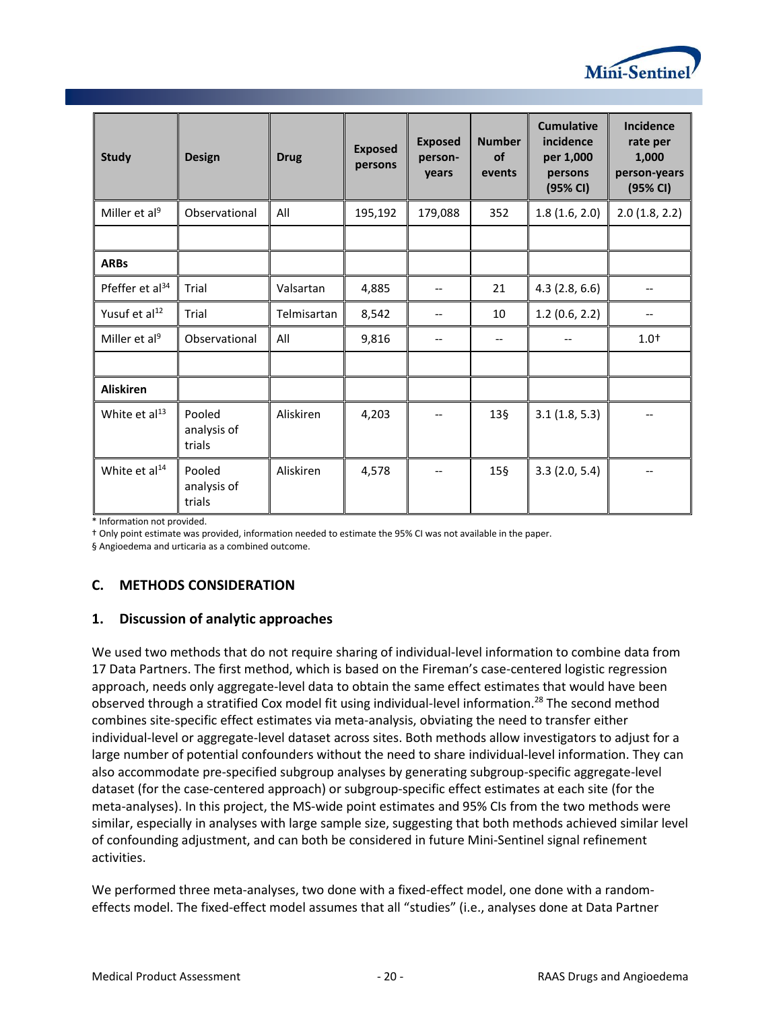

| <b>Study</b>                | <b>Design</b>                   | <b>Drug</b> | <b>Exposed</b><br>persons | <b>Exposed</b><br>person-<br>years | <b>Number</b><br><b>of</b><br>events | <b>Cumulative</b><br>incidence<br>per 1,000<br>persons<br>(95% CI) | <b>Incidence</b><br>rate per<br>1,000<br>person-years<br>(95% CI) |
|-----------------------------|---------------------------------|-------------|---------------------------|------------------------------------|--------------------------------------|--------------------------------------------------------------------|-------------------------------------------------------------------|
| Miller et al <sup>9</sup>   | Observational                   | All         | 195,192                   | 179,088                            | 352                                  | 1.8(1.6, 2.0)                                                      | 2.0(1.8, 2.2)                                                     |
|                             |                                 |             |                           |                                    |                                      |                                                                    |                                                                   |
| <b>ARBs</b>                 |                                 |             |                           |                                    |                                      |                                                                    |                                                                   |
| Pfeffer et al <sup>34</sup> | Trial                           | Valsartan   | 4,885                     |                                    | 21                                   | 4.3(2.8, 6.6)                                                      |                                                                   |
| Yusuf et al <sup>12</sup>   | Trial                           | Telmisartan | 8,542                     | --                                 | 10                                   | 1.2(0.6, 2.2)                                                      |                                                                   |
| Miller et al <sup>9</sup>   | Observational                   | All         | 9,816                     | $\overline{\phantom{m}}$           | $\hspace{0.05cm} \textbf{--}$        | $- -$                                                              | $1.0^{+}$                                                         |
|                             |                                 |             |                           |                                    |                                      |                                                                    |                                                                   |
| <b>Aliskiren</b>            |                                 |             |                           |                                    |                                      |                                                                    |                                                                   |
| White et al <sup>13</sup>   | Pooled<br>analysis of<br>trials | Aliskiren   | 4,203                     | $-$                                | $13\frac{5}{9}$                      | 3.1(1.8, 5.3)                                                      |                                                                   |
| White et al <sup>14</sup>   | Pooled<br>analysis of<br>trials | Aliskiren   | 4,578                     |                                    | $15\$                                | 3.3(2.0, 5.4)                                                      |                                                                   |

\* Information not provided.

† Only point estimate was provided, information needed to estimate the 95% CI was not available in the paper.

§ Angioedema and urticaria as a combined outcome.

# <span id="page-21-0"></span>**C. METHODS CONSIDERATION**

### **1. Discussion of analytic approaches**

We used two methods that do not require sharing of individual-level information to combine data from 17 Data Partners. The first method, which is based on the Fireman's case-centered logistic regression approach, needs only aggregate-level data to obtain the same effect estimates that would have been observed through a stratified Cox model fit using individual-level information.<sup>28</sup> The second method combines site-specific effect estimates via meta-analysis, obviating the need to transfer either individual-level or aggregate-level dataset across sites. Both methods allow investigators to adjust for a large number of potential confounders without the need to share individual-level information. They can also accommodate pre-specified subgroup analyses by generating subgroup-specific aggregate-level dataset (for the case-centered approach) or subgroup-specific effect estimates at each site (for the meta-analyses). In this project, the MS-wide point estimates and 95% CIs from the two methods were similar, especially in analyses with large sample size, suggesting that both methods achieved similar level of confounding adjustment, and can both be considered in future Mini-Sentinel signal refinement activities.

We performed three meta-analyses, two done with a fixed-effect model, one done with a randomeffects model. The fixed-effect model assumes that all "studies" (i.e., analyses done at Data Partner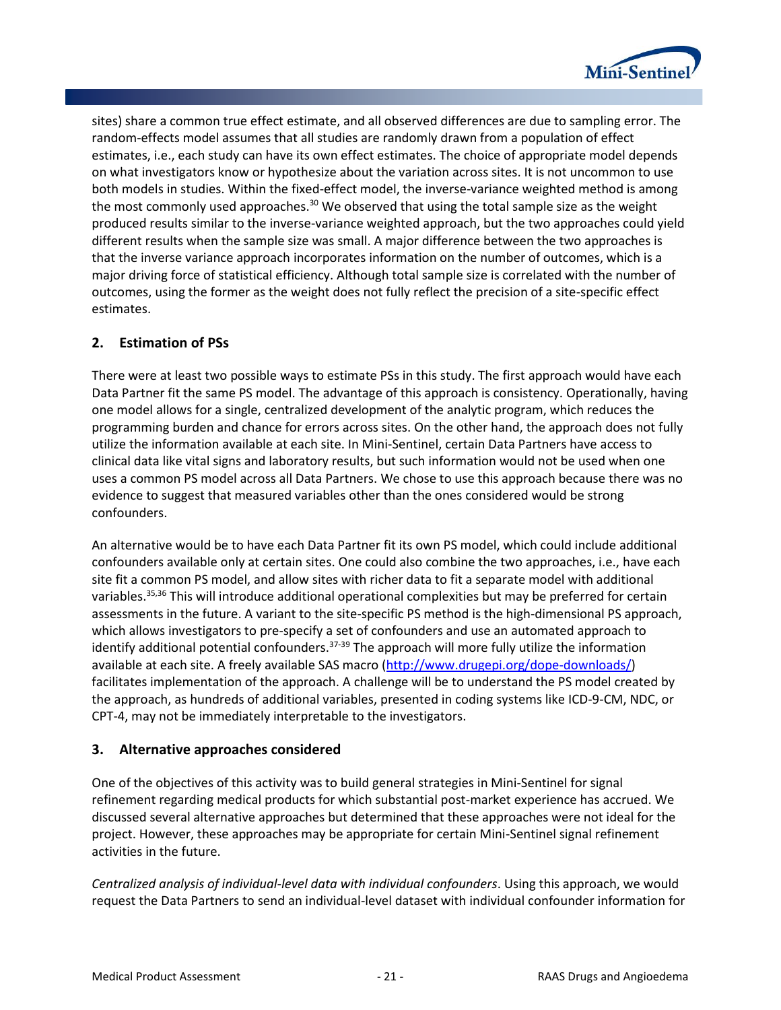

sites) share a common true effect estimate, and all observed differences are due to sampling error. The random-effects model assumes that all studies are randomly drawn from a population of effect estimates, i.e., each study can have its own effect estimates. The choice of appropriate model depends on what investigators know or hypothesize about the variation across sites. It is not uncommon to use both models in studies. Within the fixed-effect model, the inverse-variance weighted method is among the most commonly used approaches.<sup>30</sup> We observed that using the total sample size as the weight produced results similar to the inverse-variance weighted approach, but the two approaches could yield different results when the sample size was small. A major difference between the two approaches is that the inverse variance approach incorporates information on the number of outcomes, which is a major driving force of statistical efficiency. Although total sample size is correlated with the number of outcomes, using the former as the weight does not fully reflect the precision of a site-specific effect estimates.

# **2. Estimation of PSs**

There were at least two possible ways to estimate PSs in this study. The first approach would have each Data Partner fit the same PS model. The advantage of this approach is consistency. Operationally, having one model allows for a single, centralized development of the analytic program, which reduces the programming burden and chance for errors across sites. On the other hand, the approach does not fully utilize the information available at each site. In Mini-Sentinel, certain Data Partners have access to clinical data like vital signs and laboratory results, but such information would not be used when one uses a common PS model across all Data Partners. We chose to use this approach because there was no evidence to suggest that measured variables other than the ones considered would be strong confounders.

An alternative would be to have each Data Partner fit its own PS model, which could include additional confounders available only at certain sites. One could also combine the two approaches, i.e., have each site fit a common PS model, and allow sites with richer data to fit a separate model with additional variables.<sup>35,36</sup> This will introduce additional operational complexities but may be preferred for certain assessments in the future. A variant to the site-specific PS method is the high-dimensional PS approach, which allows investigators to pre-specify a set of confounders and use an automated approach to identify additional potential confounders.  $37-39$  The approach will more fully utilize the information available at each site. A freely available SAS macro [\(http://www.drugepi.org/dope-downloads/\)](http://www.drugepi.org/dope-downloads/) facilitates implementation of the approach. A challenge will be to understand the PS model created by the approach, as hundreds of additional variables, presented in coding systems like ICD-9-CM, NDC, or CPT-4, may not be immediately interpretable to the investigators.

### **3. Alternative approaches considered**

One of the objectives of this activity was to build general strategies in Mini-Sentinel for signal refinement regarding medical products for which substantial post-market experience has accrued. We discussed several alternative approaches but determined that these approaches were not ideal for the project. However, these approaches may be appropriate for certain Mini-Sentinel signal refinement activities in the future.

*Centralized analysis of individual-level data with individual confounders*. Using this approach, we would request the Data Partners to send an individual-level dataset with individual confounder information for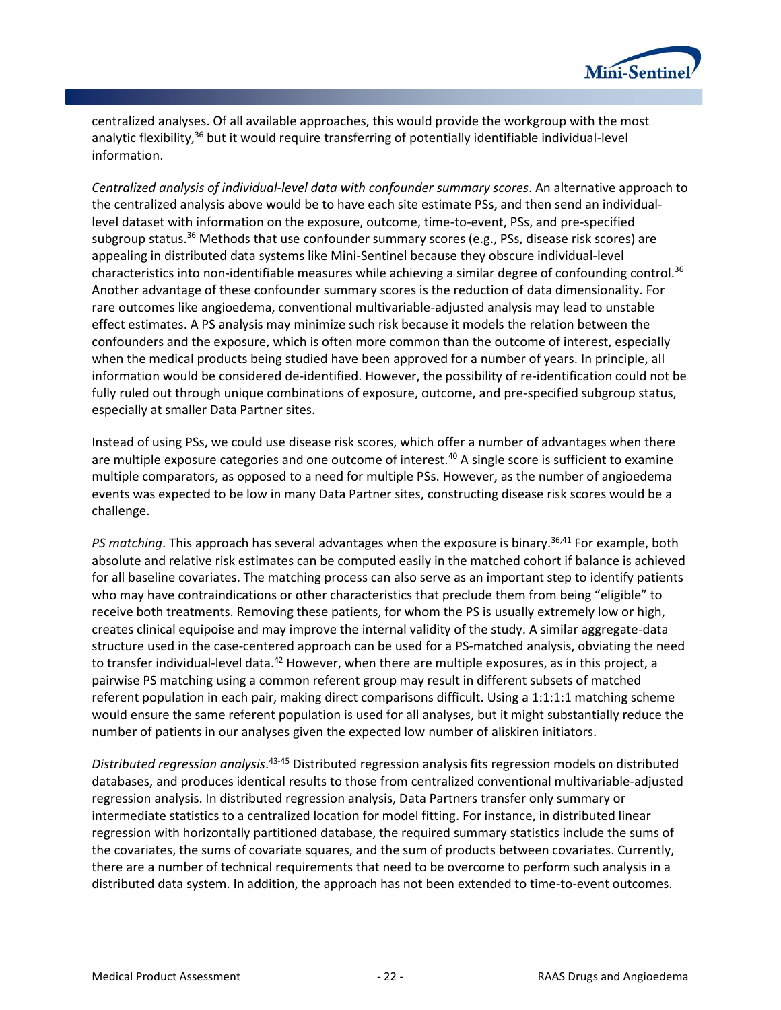

centralized analyses. Of all available approaches, this would provide the workgroup with the most analytic flexibility,<sup>36</sup> but it would require transferring of potentially identifiable individual-level information.

*Centralized analysis of individual-level data with confounder summary scores*. An alternative approach to the centralized analysis above would be to have each site estimate PSs, and then send an individuallevel dataset with information on the exposure, outcome, time-to-event, PSs, and pre-specified subgroup status.<sup>36</sup> Methods that use confounder summary scores (e.g., PSs, disease risk scores) are appealing in distributed data systems like Mini-Sentinel because they obscure individual-level characteristics into non-identifiable measures while achieving a similar degree of confounding control.<sup>36</sup> Another advantage of these confounder summary scores is the reduction of data dimensionality. For rare outcomes like angioedema, conventional multivariable-adjusted analysis may lead to unstable effect estimates. A PS analysis may minimize such risk because it models the relation between the confounders and the exposure, which is often more common than the outcome of interest, especially when the medical products being studied have been approved for a number of years. In principle, all information would be considered de-identified. However, the possibility of re-identification could not be fully ruled out through unique combinations of exposure, outcome, and pre-specified subgroup status, especially at smaller Data Partner sites.

Instead of using PSs, we could use disease risk scores, which offer a number of advantages when there are multiple exposure categories and one outcome of interest.<sup>40</sup> A single score is sufficient to examine multiple comparators, as opposed to a need for multiple PSs. However, as the number of angioedema events was expected to be low in many Data Partner sites, constructing disease risk scores would be a challenge.

*PS matching*. This approach has several advantages when the exposure is binary.36,41 For example, both absolute and relative risk estimates can be computed easily in the matched cohort if balance is achieved for all baseline covariates. The matching process can also serve as an important step to identify patients who may have contraindications or other characteristics that preclude them from being "eligible" to receive both treatments. Removing these patients, for whom the PS is usually extremely low or high, creates clinical equipoise and may improve the internal validity of the study. A similar aggregate-data structure used in the case-centered approach can be used for a PS-matched analysis, obviating the need to transfer individual-level data.<sup>42</sup> However, when there are multiple exposures, as in this project, a pairwise PS matching using a common referent group may result in different subsets of matched referent population in each pair, making direct comparisons difficult. Using a 1:1:1:1 matching scheme would ensure the same referent population is used for all analyses, but it might substantially reduce the number of patients in our analyses given the expected low number of aliskiren initiators.

*Distributed regression analysis*. 43-45 Distributed regression analysis fits regression models on distributed databases, and produces identical results to those from centralized conventional multivariable-adjusted regression analysis. In distributed regression analysis, Data Partners transfer only summary or intermediate statistics to a centralized location for model fitting. For instance, in distributed linear regression with horizontally partitioned database, the required summary statistics include the sums of the covariates, the sums of covariate squares, and the sum of products between covariates. Currently, there are a number of technical requirements that need to be overcome to perform such analysis in a distributed data system. In addition, the approach has not been extended to time-to-event outcomes.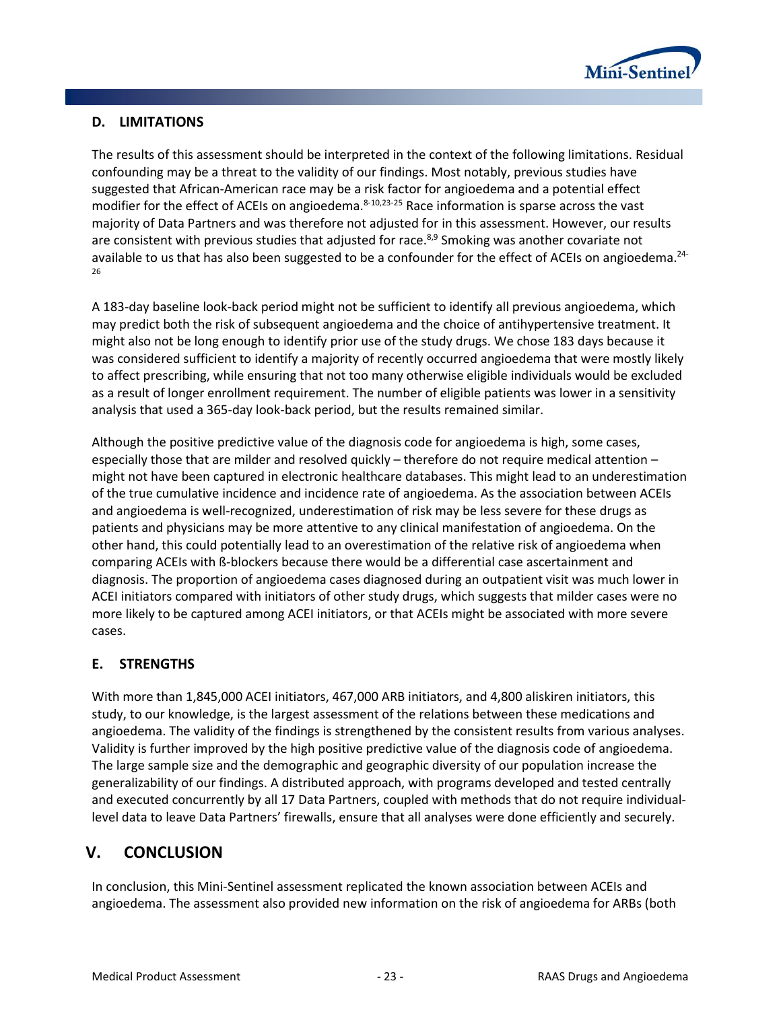

# <span id="page-24-0"></span>**D. LIMITATIONS**

The results of this assessment should be interpreted in the context of the following limitations. Residual confounding may be a threat to the validity of our findings. Most notably, previous studies have suggested that African-American race may be a risk factor for angioedema and a potential effect modifier for the effect of ACEIs on angioedema.<sup>8-10,23-25</sup> Race information is sparse across the vast majority of Data Partners and was therefore not adjusted for in this assessment. However, our results are consistent with previous studies that adjusted for race. $8.9$  Smoking was another covariate not available to us that has also been suggested to be a confounder for the effect of ACEIs on angioedema.<sup>24-</sup> 26

A 183-day baseline look-back period might not be sufficient to identify all previous angioedema, which may predict both the risk of subsequent angioedema and the choice of antihypertensive treatment. It might also not be long enough to identify prior use of the study drugs. We chose 183 days because it was considered sufficient to identify a majority of recently occurred angioedema that were mostly likely to affect prescribing, while ensuring that not too many otherwise eligible individuals would be excluded as a result of longer enrollment requirement. The number of eligible patients was lower in a sensitivity analysis that used a 365-day look-back period, but the results remained similar.

Although the positive predictive value of the diagnosis code for angioedema is high, some cases, especially those that are milder and resolved quickly – therefore do not require medical attention – might not have been captured in electronic healthcare databases. This might lead to an underestimation of the true cumulative incidence and incidence rate of angioedema. As the association between ACEIs and angioedema is well-recognized, underestimation of risk may be less severe for these drugs as patients and physicians may be more attentive to any clinical manifestation of angioedema. On the other hand, this could potentially lead to an overestimation of the relative risk of angioedema when comparing ACEIs with ß-blockers because there would be a differential case ascertainment and diagnosis. The proportion of angioedema cases diagnosed during an outpatient visit was much lower in ACEI initiators compared with initiators of other study drugs, which suggests that milder cases were no more likely to be captured among ACEI initiators, or that ACEIs might be associated with more severe cases.

# <span id="page-24-1"></span>**E. STRENGTHS**

With more than 1,845,000 ACEI initiators, 467,000 ARB initiators, and 4,800 aliskiren initiators, this study, to our knowledge, is the largest assessment of the relations between these medications and angioedema. The validity of the findings is strengthened by the consistent results from various analyses. Validity is further improved by the high positive predictive value of the diagnosis code of angioedema. The large sample size and the demographic and geographic diversity of our population increase the generalizability of our findings. A distributed approach, with programs developed and tested centrally and executed concurrently by all 17 Data Partners, coupled with methods that do not require individuallevel data to leave Data Partners' firewalls, ensure that all analyses were done efficiently and securely.

# <span id="page-24-2"></span>**V. CONCLUSION**

In conclusion, this Mini-Sentinel assessment replicated the known association between ACEIs and angioedema. The assessment also provided new information on the risk of angioedema for ARBs (both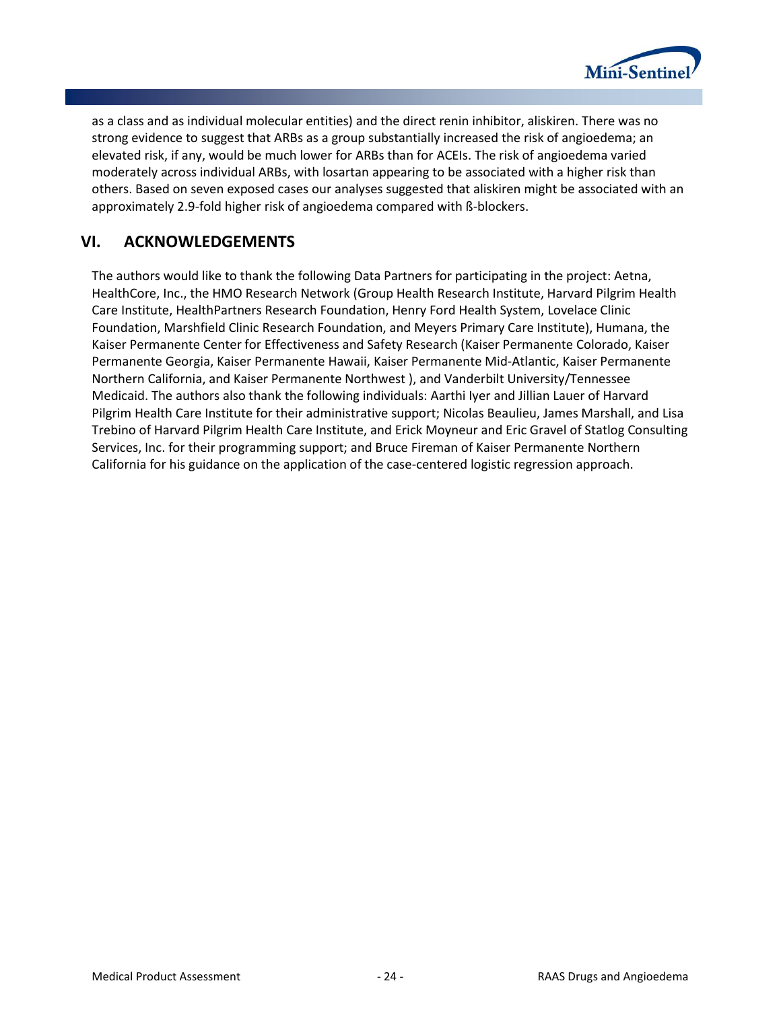

as a class and as individual molecular entities) and the direct renin inhibitor, aliskiren. There was no strong evidence to suggest that ARBs as a group substantially increased the risk of angioedema; an elevated risk, if any, would be much lower for ARBs than for ACEIs. The risk of angioedema varied moderately across individual ARBs, with losartan appearing to be associated with a higher risk than others. Based on seven exposed cases our analyses suggested that aliskiren might be associated with an approximately 2.9-fold higher risk of angioedema compared with ß-blockers.

# <span id="page-25-0"></span>**VI. ACKNOWLEDGEMENTS**

The authors would like to thank the following Data Partners for participating in the project: Aetna, HealthCore, Inc., the HMO Research Network (Group Health Research Institute, Harvard Pilgrim Health Care Institute, HealthPartners Research Foundation, Henry Ford Health System, Lovelace Clinic Foundation, Marshfield Clinic Research Foundation, and Meyers Primary Care Institute), Humana, the Kaiser Permanente Center for Effectiveness and Safety Research (Kaiser Permanente Colorado, Kaiser Permanente Georgia, Kaiser Permanente Hawaii, Kaiser Permanente Mid-Atlantic, Kaiser Permanente Northern California, and Kaiser Permanente Northwest ), and Vanderbilt University/Tennessee Medicaid. The authors also thank the following individuals: Aarthi Iyer and Jillian Lauer of Harvard Pilgrim Health Care Institute for their administrative support; Nicolas Beaulieu, James Marshall, and Lisa Trebino of Harvard Pilgrim Health Care Institute, and Erick Moyneur and Eric Gravel of Statlog Consulting Services, Inc. for their programming support; and Bruce Fireman of Kaiser Permanente Northern California for his guidance on the application of the case-centered logistic regression approach.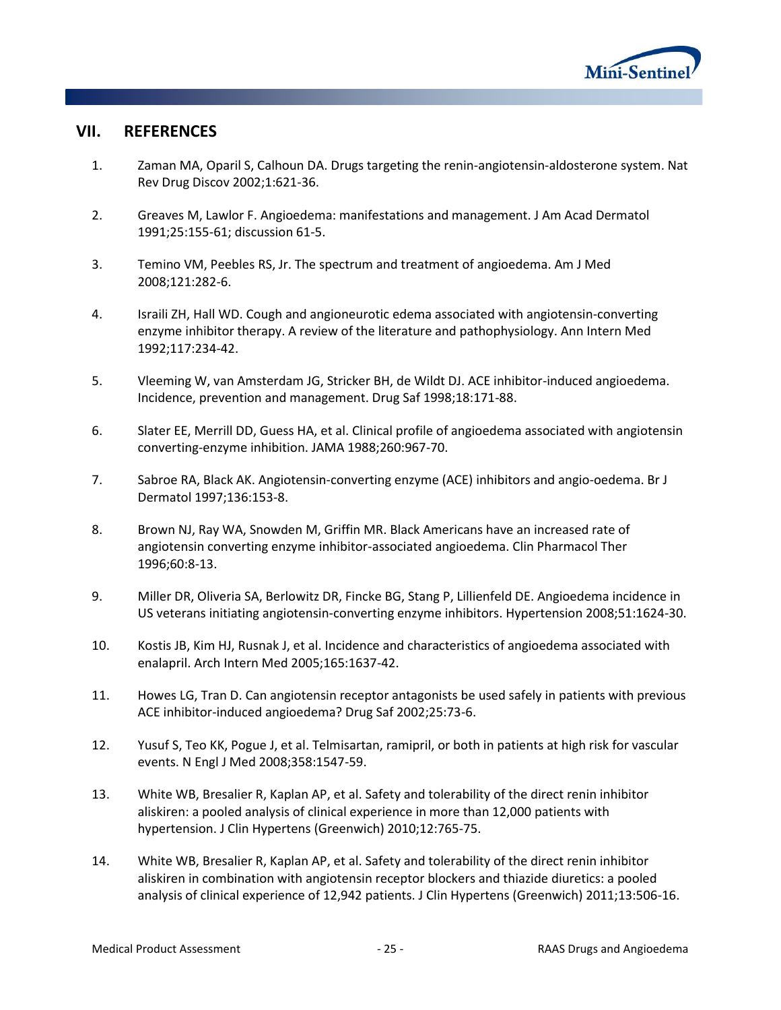

# <span id="page-26-0"></span>**VII. REFERENCES**

- 1. Zaman MA, Oparil S, Calhoun DA. Drugs targeting the renin-angiotensin-aldosterone system. Nat Rev Drug Discov 2002;1:621-36.
- 2. Greaves M, Lawlor F. Angioedema: manifestations and management. J Am Acad Dermatol 1991;25:155-61; discussion 61-5.
- 3. Temino VM, Peebles RS, Jr. The spectrum and treatment of angioedema. Am J Med 2008;121:282-6.
- 4. Israili ZH, Hall WD. Cough and angioneurotic edema associated with angiotensin-converting enzyme inhibitor therapy. A review of the literature and pathophysiology. Ann Intern Med 1992;117:234-42.
- 5. Vleeming W, van Amsterdam JG, Stricker BH, de Wildt DJ. ACE inhibitor-induced angioedema. Incidence, prevention and management. Drug Saf 1998;18:171-88.
- 6. Slater EE, Merrill DD, Guess HA, et al. Clinical profile of angioedema associated with angiotensin converting-enzyme inhibition. JAMA 1988;260:967-70.
- 7. Sabroe RA, Black AK. Angiotensin-converting enzyme (ACE) inhibitors and angio-oedema. Br J Dermatol 1997;136:153-8.
- 8. Brown NJ, Ray WA, Snowden M, Griffin MR. Black Americans have an increased rate of angiotensin converting enzyme inhibitor-associated angioedema. Clin Pharmacol Ther 1996;60:8-13.
- 9. Miller DR, Oliveria SA, Berlowitz DR, Fincke BG, Stang P, Lillienfeld DE. Angioedema incidence in US veterans initiating angiotensin-converting enzyme inhibitors. Hypertension 2008;51:1624-30.
- 10. Kostis JB, Kim HJ, Rusnak J, et al. Incidence and characteristics of angioedema associated with enalapril. Arch Intern Med 2005;165:1637-42.
- 11. Howes LG, Tran D. Can angiotensin receptor antagonists be used safely in patients with previous ACE inhibitor-induced angioedema? Drug Saf 2002;25:73-6.
- 12. Yusuf S, Teo KK, Pogue J, et al. Telmisartan, ramipril, or both in patients at high risk for vascular events. N Engl J Med 2008;358:1547-59.
- 13. White WB, Bresalier R, Kaplan AP, et al. Safety and tolerability of the direct renin inhibitor aliskiren: a pooled analysis of clinical experience in more than 12,000 patients with hypertension. J Clin Hypertens (Greenwich) 2010;12:765-75.
- 14. White WB, Bresalier R, Kaplan AP, et al. Safety and tolerability of the direct renin inhibitor aliskiren in combination with angiotensin receptor blockers and thiazide diuretics: a pooled analysis of clinical experience of 12,942 patients. J Clin Hypertens (Greenwich) 2011;13:506-16.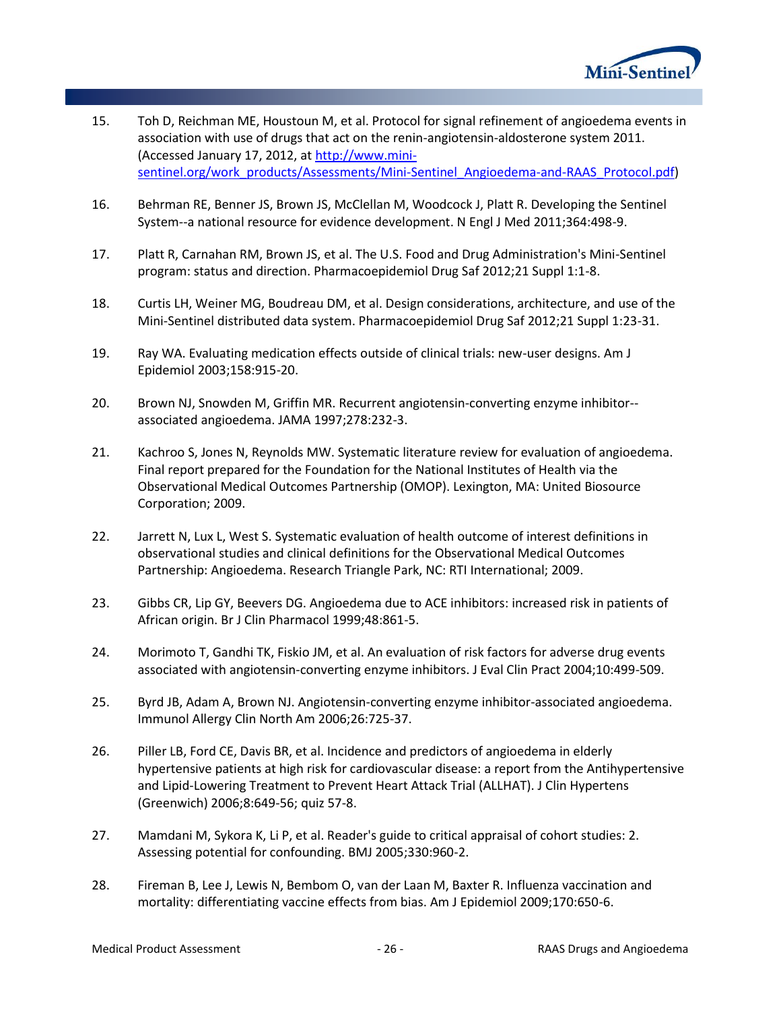

- 15. Toh D, Reichman ME, Houstoun M, et al. Protocol for signal refinement of angioedema events in association with use of drugs that act on the renin-angiotensin-aldosterone system 2011. (Accessed January 17, 2012, at [http://www.mini](http://www.mini-sentinel.org/work_products/Assessments/Mini-Sentinel_Angioedema-and-RAAS_Protocol.pdf)[sentinel.org/work\\_products/Assessments/Mini-Sentinel\\_Angioedema-and-RAAS\\_Protocol.pdf\)](http://www.mini-sentinel.org/work_products/Assessments/Mini-Sentinel_Angioedema-and-RAAS_Protocol.pdf)
- 16. Behrman RE, Benner JS, Brown JS, McClellan M, Woodcock J, Platt R. Developing the Sentinel System--a national resource for evidence development. N Engl J Med 2011;364:498-9.
- 17. Platt R, Carnahan RM, Brown JS, et al. The U.S. Food and Drug Administration's Mini-Sentinel program: status and direction. Pharmacoepidemiol Drug Saf 2012;21 Suppl 1:1-8.
- 18. Curtis LH, Weiner MG, Boudreau DM, et al. Design considerations, architecture, and use of the Mini-Sentinel distributed data system. Pharmacoepidemiol Drug Saf 2012;21 Suppl 1:23-31.
- 19. Ray WA. Evaluating medication effects outside of clinical trials: new-user designs. Am J Epidemiol 2003;158:915-20.
- 20. Brown NJ, Snowden M, Griffin MR. Recurrent angiotensin-converting enzyme inhibitor- associated angioedema. JAMA 1997;278:232-3.
- 21. Kachroo S, Jones N, Reynolds MW. Systematic literature review for evaluation of angioedema. Final report prepared for the Foundation for the National Institutes of Health via the Observational Medical Outcomes Partnership (OMOP). Lexington, MA: United Biosource Corporation; 2009.
- 22. Jarrett N, Lux L, West S. Systematic evaluation of health outcome of interest definitions in observational studies and clinical definitions for the Observational Medical Outcomes Partnership: Angioedema. Research Triangle Park, NC: RTI International; 2009.
- 23. Gibbs CR, Lip GY, Beevers DG. Angioedema due to ACE inhibitors: increased risk in patients of African origin. Br J Clin Pharmacol 1999;48:861-5.
- 24. Morimoto T, Gandhi TK, Fiskio JM, et al. An evaluation of risk factors for adverse drug events associated with angiotensin-converting enzyme inhibitors. J Eval Clin Pract 2004;10:499-509.
- 25. Byrd JB, Adam A, Brown NJ. Angiotensin-converting enzyme inhibitor-associated angioedema. Immunol Allergy Clin North Am 2006;26:725-37.
- 26. Piller LB, Ford CE, Davis BR, et al. Incidence and predictors of angioedema in elderly hypertensive patients at high risk for cardiovascular disease: a report from the Antihypertensive and Lipid-Lowering Treatment to Prevent Heart Attack Trial (ALLHAT). J Clin Hypertens (Greenwich) 2006;8:649-56; quiz 57-8.
- 27. Mamdani M, Sykora K, Li P, et al. Reader's guide to critical appraisal of cohort studies: 2. Assessing potential for confounding. BMJ 2005;330:960-2.
- 28. Fireman B, Lee J, Lewis N, Bembom O, van der Laan M, Baxter R. Influenza vaccination and mortality: differentiating vaccine effects from bias. Am J Epidemiol 2009;170:650-6.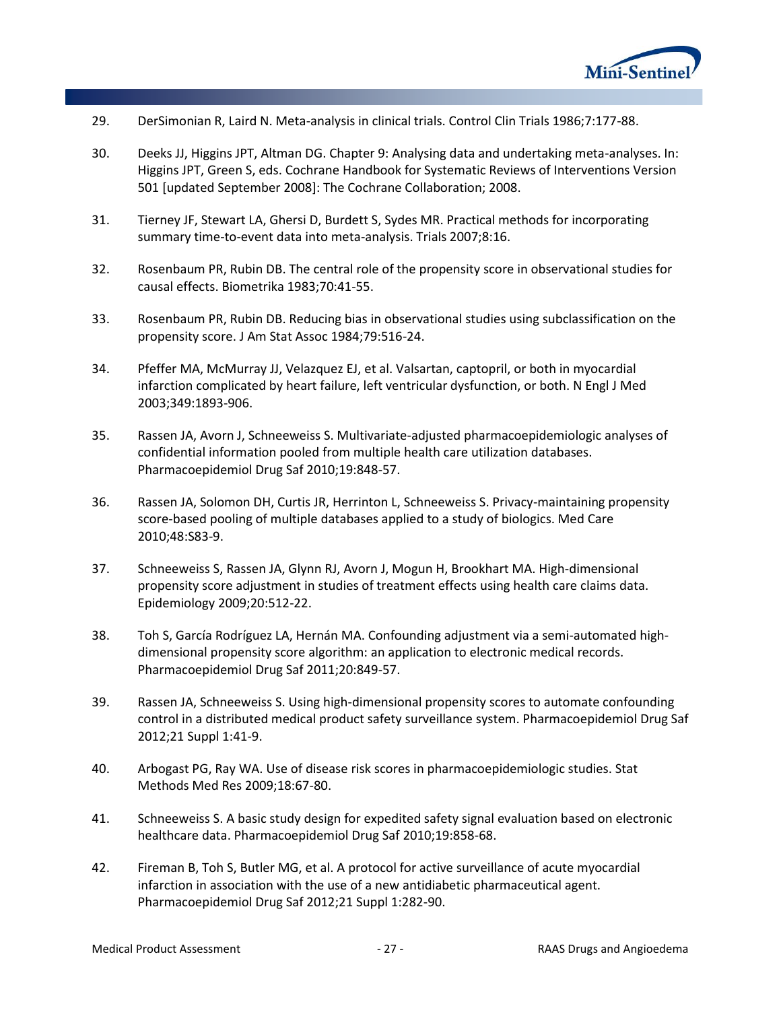

- 29. DerSimonian R, Laird N. Meta-analysis in clinical trials. Control Clin Trials 1986;7:177-88.
- 30. Deeks JJ, Higgins JPT, Altman DG. Chapter 9: Analysing data and undertaking meta-analyses. In: Higgins JPT, Green S, eds. Cochrane Handbook for Systematic Reviews of Interventions Version 501 [updated September 2008]: The Cochrane Collaboration; 2008.
- 31. Tierney JF, Stewart LA, Ghersi D, Burdett S, Sydes MR. Practical methods for incorporating summary time-to-event data into meta-analysis. Trials 2007;8:16.
- 32. Rosenbaum PR, Rubin DB. The central role of the propensity score in observational studies for causal effects. Biometrika 1983;70:41-55.
- 33. Rosenbaum PR, Rubin DB. Reducing bias in observational studies using subclassification on the propensity score. J Am Stat Assoc 1984;79:516-24.
- 34. Pfeffer MA, McMurray JJ, Velazquez EJ, et al. Valsartan, captopril, or both in myocardial infarction complicated by heart failure, left ventricular dysfunction, or both. N Engl J Med 2003;349:1893-906.
- 35. Rassen JA, Avorn J, Schneeweiss S. Multivariate-adjusted pharmacoepidemiologic analyses of confidential information pooled from multiple health care utilization databases. Pharmacoepidemiol Drug Saf 2010;19:848-57.
- 36. Rassen JA, Solomon DH, Curtis JR, Herrinton L, Schneeweiss S. Privacy-maintaining propensity score-based pooling of multiple databases applied to a study of biologics. Med Care 2010;48:S83-9.
- 37. Schneeweiss S, Rassen JA, Glynn RJ, Avorn J, Mogun H, Brookhart MA. High-dimensional propensity score adjustment in studies of treatment effects using health care claims data. Epidemiology 2009;20:512-22.
- 38. Toh S, García Rodríguez LA, Hernán MA. Confounding adjustment via a semi-automated highdimensional propensity score algorithm: an application to electronic medical records. Pharmacoepidemiol Drug Saf 2011;20:849-57.
- 39. Rassen JA, Schneeweiss S. Using high-dimensional propensity scores to automate confounding control in a distributed medical product safety surveillance system. Pharmacoepidemiol Drug Saf 2012;21 Suppl 1:41-9.
- 40. Arbogast PG, Ray WA. Use of disease risk scores in pharmacoepidemiologic studies. Stat Methods Med Res 2009;18:67-80.
- 41. Schneeweiss S. A basic study design for expedited safety signal evaluation based on electronic healthcare data. Pharmacoepidemiol Drug Saf 2010;19:858-68.
- 42. Fireman B, Toh S, Butler MG, et al. A protocol for active surveillance of acute myocardial infarction in association with the use of a new antidiabetic pharmaceutical agent. Pharmacoepidemiol Drug Saf 2012;21 Suppl 1:282-90.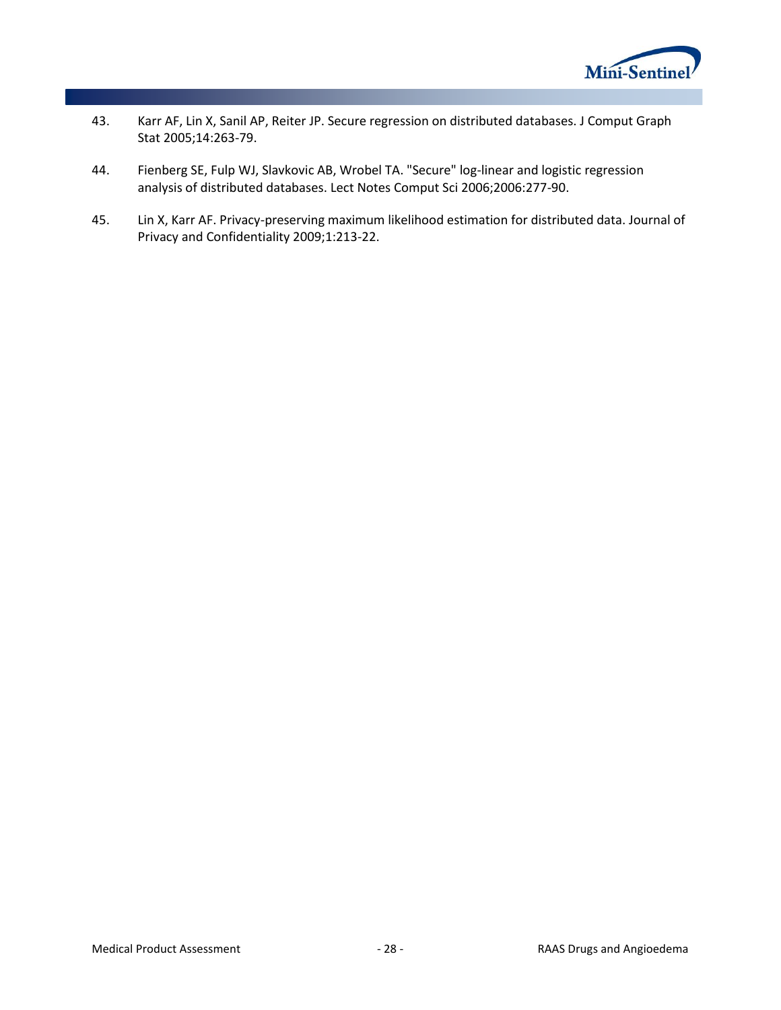

- 43. Karr AF, Lin X, Sanil AP, Reiter JP. Secure regression on distributed databases. J Comput Graph Stat 2005;14:263-79.
- 44. Fienberg SE, Fulp WJ, Slavkovic AB, Wrobel TA. "Secure" log-linear and logistic regression analysis of distributed databases. Lect Notes Comput Sci 2006;2006:277-90.
- 45. Lin X, Karr AF. Privacy-preserving maximum likelihood estimation for distributed data. Journal of Privacy and Confidentiality 2009;1:213-22.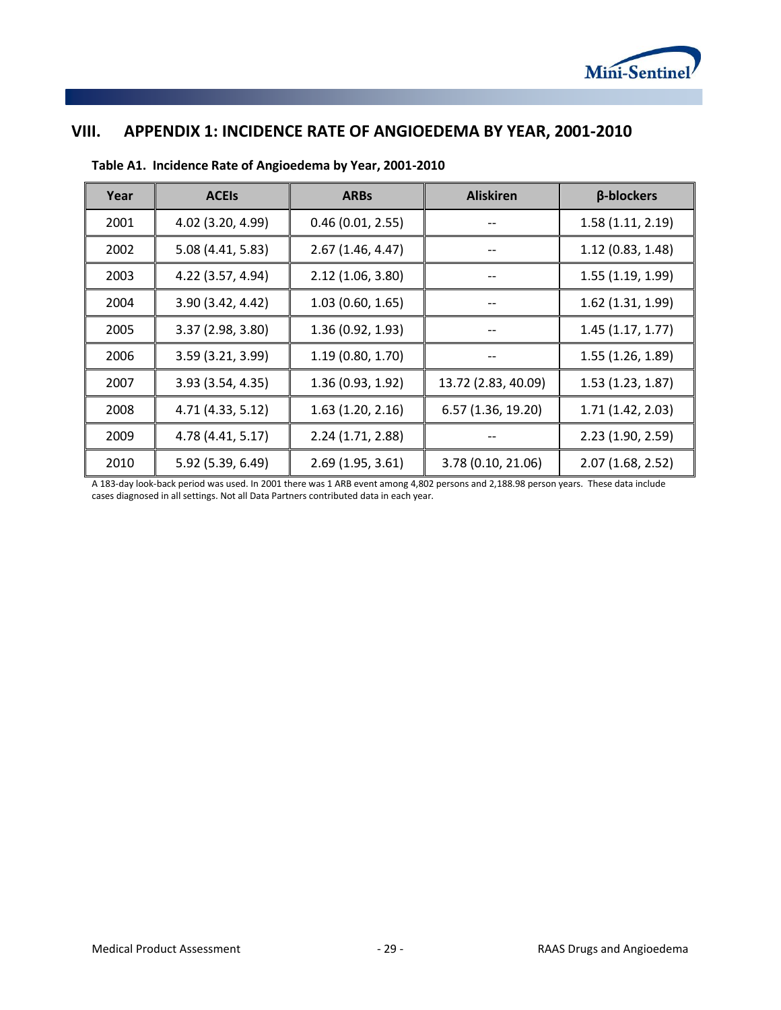

# <span id="page-30-0"></span>**VIII. APPENDIX 1: INCIDENCE RATE OF ANGIOEDEMA BY YEAR, 2001-2010**

| Year | <b>ACEIS</b>      | <b>ARBs</b>       | <b>Aliskiren</b>    | β-blockers          |
|------|-------------------|-------------------|---------------------|---------------------|
| 2001 | 4.02 (3.20, 4.99) | 0.46(0.01, 2.55)  |                     | 1.58(1.11, 2.19)    |
| 2002 | 5.08 (4.41, 5.83) | 2.67(1.46, 4.47)  | --                  | 1.12(0.83, 1.48)    |
| 2003 | 4.22 (3.57, 4.94) | 2.12(1.06, 3.80)  |                     | 1.55 (1.19, 1.99)   |
| 2004 | 3.90 (3.42, 4.42) | 1.03(0.60, 1.65)  |                     | $1.62$ (1.31, 1.99) |
| 2005 | 3.37 (2.98, 3.80) | 1.36 (0.92, 1.93) | --                  | 1.45(1.17, 1.77)    |
| 2006 | 3.59 (3.21, 3.99) | 1.19(0.80, 1.70)  |                     | 1.55(1.26, 1.89)    |
| 2007 | 3.93 (3.54, 4.35) | 1.36(0.93, 1.92)  | 13.72 (2.83, 40.09) | 1.53(1.23, 1.87)    |
| 2008 | 4.71 (4.33, 5.12) | 1.63(1.20, 2.16)  | 6.57 (1.36, 19.20)  | 1.71 (1.42, 2.03)   |
| 2009 | 4.78 (4.41, 5.17) | 2.24 (1.71, 2.88) |                     | 2.23 (1.90, 2.59)   |
| 2010 | 5.92 (5.39, 6.49) | 2.69(1.95, 3.61)  | 3.78 (0.10, 21.06)  | 2.07(1.68, 2.52)    |

### **Table A1. Incidence Rate of Angioedema by Year, 2001-2010**

A 183-day look-back period was used. In 2001 there was 1 ARB event among 4,802 persons and 2,188.98 person years. These data include cases diagnosed in all settings. Not all Data Partners contributed data in each year.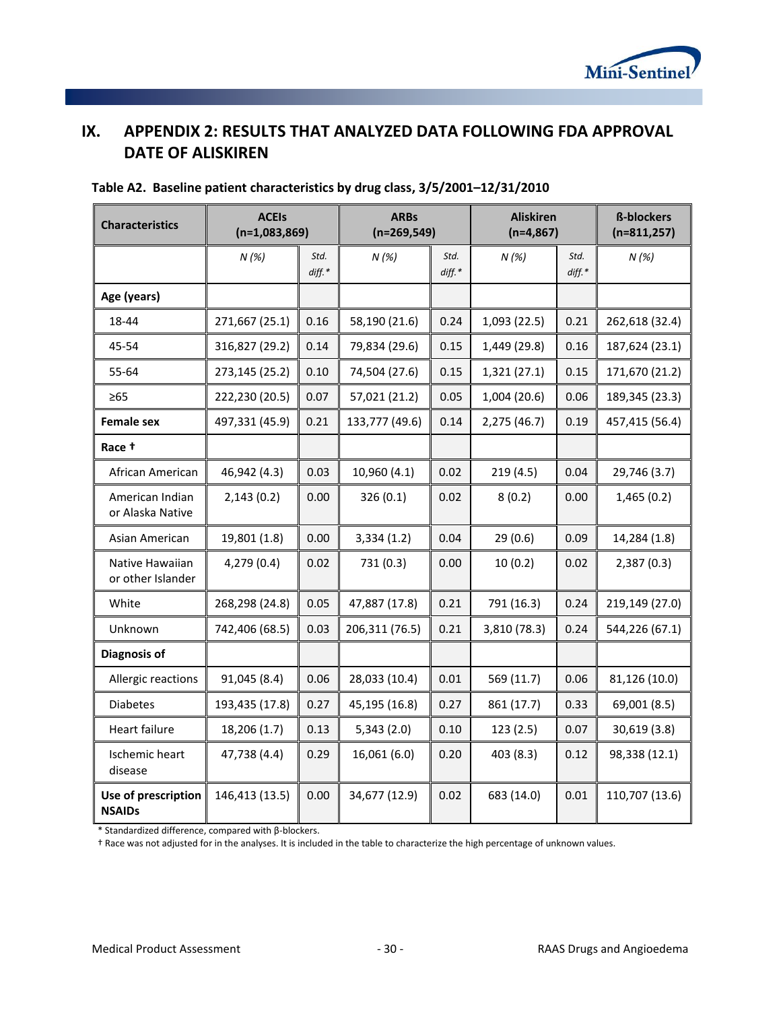

# <span id="page-31-0"></span>**IX. APPENDIX 2: RESULTS THAT ANALYZED DATA FOLLOWING FDA APPROVAL DATE OF ALISKIREN**

| <b>Characteristics</b>               | <b>ACEIs</b><br>$(n=1,083,869)$ |                  | <b>ARBs</b><br>$(n=269,549)$ |               | <b>Aliskiren</b><br>$(n=4,867)$ |                  | <b>ß-blockers</b><br>$(n=811,257)$ |
|--------------------------------------|---------------------------------|------------------|------------------------------|---------------|---------------------------------|------------------|------------------------------------|
|                                      | N(%)                            | Std.<br>$diff.*$ | N(%)                         | Std.<br>diff. | N(%)                            | Std.<br>$diff.*$ | N(%)                               |
| Age (years)                          |                                 |                  |                              |               |                                 |                  |                                    |
| 18-44                                | 271,667 (25.1)                  | 0.16             | 58,190 (21.6)                | 0.24          | 1,093 (22.5)                    | 0.21             | 262,618 (32.4)                     |
| 45-54                                | 316,827 (29.2)                  | 0.14             | 79,834 (29.6)                | 0.15          | 1,449 (29.8)                    | 0.16             | 187,624 (23.1)                     |
| 55-64                                | 273,145 (25.2)                  | 0.10             | 74,504 (27.6)                | 0.15          | 1,321 (27.1)                    | 0.15             | 171,670 (21.2)                     |
| $\geq 65$                            | 222,230 (20.5)                  | 0.07             | 57,021 (21.2)                | 0.05          | 1,004 (20.6)                    | 0.06             | 189,345 (23.3)                     |
| <b>Female sex</b>                    | 497,331 (45.9)                  | 0.21             | 133,777 (49.6)               | 0.14          | 2,275 (46.7)                    | 0.19             | 457,415 (56.4)                     |
| Race +                               |                                 |                  |                              |               |                                 |                  |                                    |
| African American                     | 46,942 (4.3)                    | 0.03             | 10,960 (4.1)                 | 0.02          | 219(4.5)                        | 0.04             | 29,746 (3.7)                       |
| American Indian<br>or Alaska Native  | 2,143(0.2)                      | 0.00             | 326(0.1)                     | 0.02          | 8(0.2)                          | 0.00             | 1,465(0.2)                         |
| Asian American                       | 19,801 (1.8)                    | 0.00             | 3,334(1.2)                   | 0.04          | 29(0.6)                         | 0.09             | 14,284 (1.8)                       |
| Native Hawaiian<br>or other Islander | 4,279 (0.4)                     | 0.02             | 731(0.3)                     | 0.00          | 10(0.2)                         | 0.02             | 2,387(0.3)                         |
| White                                | 268,298 (24.8)                  | 0.05             | 47,887 (17.8)                | 0.21          | 791 (16.3)                      | 0.24             | 219,149 (27.0)                     |
| Unknown                              | 742,406 (68.5)                  | 0.03             | 206,311 (76.5)               | 0.21          | 3,810 (78.3)                    | 0.24             | 544,226 (67.1)                     |
| <b>Diagnosis of</b>                  |                                 |                  |                              |               |                                 |                  |                                    |
| Allergic reactions                   | 91,045 (8.4)                    | 0.06             | 28,033 (10.4)                | 0.01          | 569 (11.7)                      | 0.06             | 81,126 (10.0)                      |
| <b>Diabetes</b>                      | 193,435 (17.8)                  | 0.27             | 45,195 (16.8)                | 0.27          | 861 (17.7)                      | 0.33             | 69,001 (8.5)                       |
| Heart failure                        | 18,206 (1.7)                    | 0.13             | 5,343(2.0)                   | 0.10          | 123(2.5)                        | 0.07             | 30,619 (3.8)                       |
| Ischemic heart<br>disease            | 47,738 (4.4)                    | 0.29             | 16,061 (6.0)                 | 0.20          | 403(8.3)                        | 0.12             | 98,338 (12.1)                      |
| Use of prescription<br><b>NSAIDs</b> | 146,413 (13.5)                  | 0.00             | 34,677 (12.9)                | 0.02          | 683 (14.0)                      | 0.01             | 110,707 (13.6)                     |

# **Table A2. Baseline patient characteristics by drug class, 3/5/2001–12/31/2010**

\* Standardized difference, compared with β-blockers.

† Race was not adjusted for in the analyses. It is included in the table to characterize the high percentage of unknown values.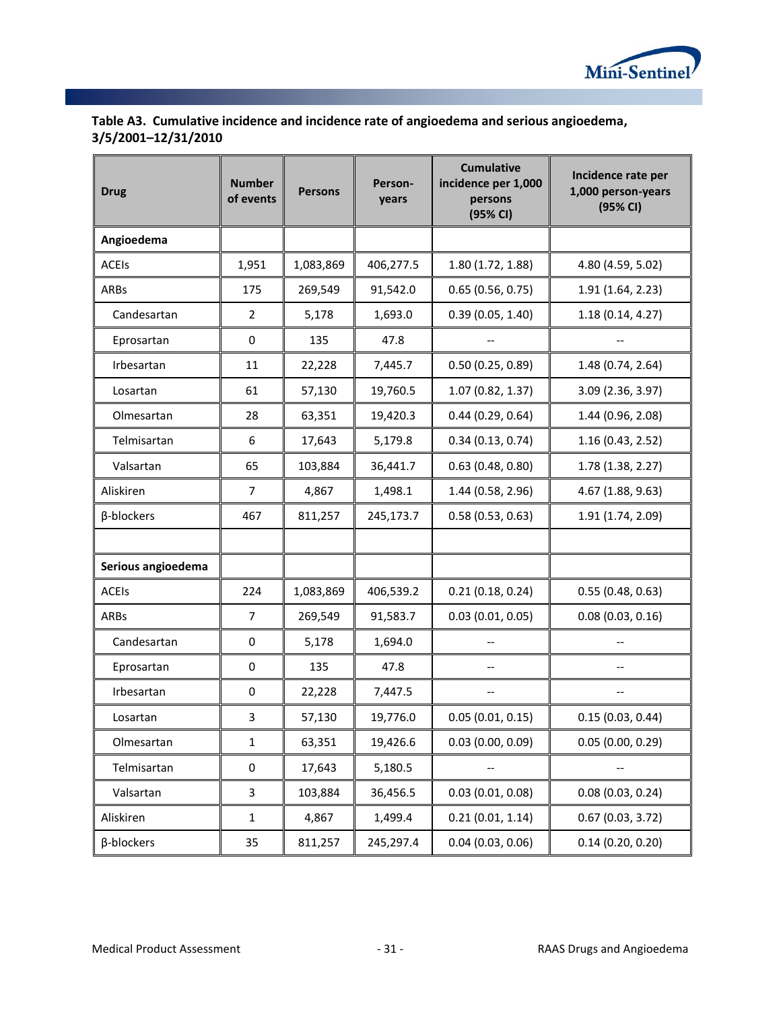

| Table A3. Cumulative incidence and incidence rate of angioedema and serious angioedema, |
|-----------------------------------------------------------------------------------------|
| 3/5/2001-12/31/2010                                                                     |

| <b>Drug</b>        | <b>Number</b><br>of events | <b>Persons</b> | Person-<br>years | <b>Cumulative</b><br>incidence per 1,000<br>persons<br>(95% CI) | Incidence rate per<br>1,000 person-years<br>(95% CI) |
|--------------------|----------------------------|----------------|------------------|-----------------------------------------------------------------|------------------------------------------------------|
| Angioedema         |                            |                |                  |                                                                 |                                                      |
| <b>ACEIS</b>       | 1,951                      | 1,083,869      | 406,277.5        | 1.80 (1.72, 1.88)                                               | 4.80 (4.59, 5.02)                                    |
| ARBs               | 175                        | 269,549        | 91,542.0         | 0.65(0.56, 0.75)                                                | 1.91 (1.64, 2.23)                                    |
| Candesartan        | 2                          | 5,178          | 1,693.0          | 0.39(0.05, 1.40)                                                | 1.18(0.14, 4.27)                                     |
| Eprosartan         | 0                          | 135            | 47.8             | $\hspace{0.05cm}$ – $\hspace{0.05cm}$                           |                                                      |
| Irbesartan         | 11                         | 22,228         | 7,445.7          | 0.50(0.25, 0.89)                                                | 1.48 (0.74, 2.64)                                    |
| Losartan           | 61                         | 57,130         | 19,760.5         | 1.07 (0.82, 1.37)                                               | 3.09 (2.36, 3.97)                                    |
| Olmesartan         | 28                         | 63,351         | 19,420.3         | 0.44(0.29, 0.64)                                                | 1.44 (0.96, 2.08)                                    |
| Telmisartan        | 6                          | 17,643         | 5,179.8          | 0.34(0.13, 0.74)                                                | 1.16 (0.43, 2.52)                                    |
| Valsartan          | 65                         | 103,884        | 36,441.7         | 0.63(0.48, 0.80)                                                | 1.78 (1.38, 2.27)                                    |
| Aliskiren          | $\overline{7}$             | 4,867          | 1,498.1          | 1.44 (0.58, 2.96)                                               | 4.67 (1.88, 9.63)                                    |
| β-blockers         | 467                        | 811,257        | 245,173.7        | 0.58(0.53, 0.63)                                                | 1.91 (1.74, 2.09)                                    |
|                    |                            |                |                  |                                                                 |                                                      |
| Serious angioedema |                            |                |                  |                                                                 |                                                      |
| <b>ACEIS</b>       | 224                        | 1,083,869      | 406,539.2        | 0.21(0.18, 0.24)                                                | 0.55(0.48, 0.63)                                     |
| <b>ARBs</b>        | $\overline{7}$             | 269,549        | 91,583.7         | 0.03(0.01, 0.05)                                                | 0.08(0.03, 0.16)                                     |
| Candesartan        | 0                          | 5,178          | 1,694.0          |                                                                 |                                                      |
| Eprosartan         | 0                          | 135            | 47.8             | --                                                              |                                                      |
| Irbesartan         | 0                          | 22,228         | 7,447.5          | $\hspace{0.05cm}$ – $\hspace{0.05cm}$                           |                                                      |
| Losartan           | 3                          | 57,130         | 19,776.0         | 0.05(0.01, 0.15)                                                | 0.15(0.03, 0.44)                                     |
| Olmesartan         | $\mathbf{1}$               | 63,351         | 19,426.6         | 0.03(0.00, 0.09)                                                | 0.05(0.00, 0.29)                                     |
| Telmisartan        | 0                          | 17,643         | 5,180.5          |                                                                 |                                                      |
| Valsartan          | 3                          | 103,884        | 36,456.5         | 0.03(0.01, 0.08)                                                | 0.08(0.03, 0.24)                                     |
| Aliskiren          | $\mathbf{1}$               | 4,867          | 1,499.4          | 0.21(0.01, 1.14)                                                | 0.67(0.03, 3.72)                                     |
| β-blockers         | 35                         | 811,257        | 245,297.4        | 0.04(0.03, 0.06)                                                | 0.14(0.20, 0.20)                                     |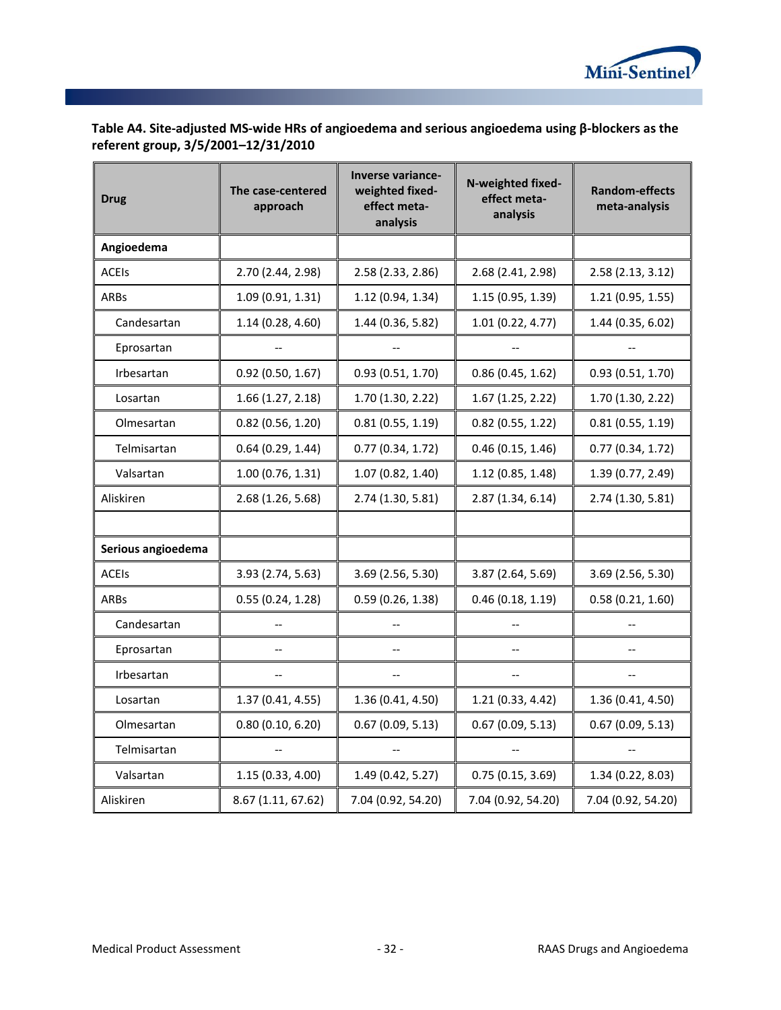

# **Table A4. Site-adjusted MS-wide HRs of angioedema and serious angioedema using β-blockers as the referent group, 3/5/2001–12/31/2010**

| <b>Drug</b>        | The case-centered<br>approach | <b>Inverse variance-</b><br>weighted fixed-<br>effect meta-<br>analysis | N-weighted fixed-<br>effect meta-<br>analysis | <b>Random-effects</b><br>meta-analysis |
|--------------------|-------------------------------|-------------------------------------------------------------------------|-----------------------------------------------|----------------------------------------|
| Angioedema         |                               |                                                                         |                                               |                                        |
| <b>ACEIS</b>       | 2.70 (2.44, 2.98)             | 2.58 (2.33, 2.86)                                                       | 2.68 (2.41, 2.98)                             | 2.58 (2.13, 3.12)                      |
| ARBs               | 1.09(0.91, 1.31)              | 1.12 (0.94, 1.34)                                                       | 1.15 (0.95, 1.39)                             | 1.21 (0.95, 1.55)                      |
| Candesartan        | 1.14(0.28, 4.60)              | 1.44 (0.36, 5.82)                                                       | 1.01 (0.22, 4.77)                             | 1.44 (0.35, 6.02)                      |
| Eprosartan         |                               |                                                                         |                                               |                                        |
| Irbesartan         | 0.92(0.50, 1.67)              | 0.93(0.51, 1.70)                                                        | 0.86(0.45, 1.62)                              | 0.93(0.51, 1.70)                       |
| Losartan           | 1.66(1.27, 2.18)              | 1.70 (1.30, 2.22)                                                       | 1.67 (1.25, 2.22)                             | 1.70 (1.30, 2.22)                      |
| Olmesartan         | $0.82$ (0.56, 1.20)           | 0.81(0.55, 1.19)                                                        | $0.82$ (0.55, 1.22)                           | 0.81(0.55, 1.19)                       |
| Telmisartan        | 0.64(0.29, 1.44)              | 0.77(0.34, 1.72)                                                        | 0.46(0.15, 1.46)                              | 0.77(0.34, 1.72)                       |
| Valsartan          | 1.00(0.76, 1.31)              | 1.07(0.82, 1.40)                                                        | 1.12 (0.85, 1.48)                             | 1.39 (0.77, 2.49)                      |
| Aliskiren          | 2.68(1.26, 5.68)              | 2.74 (1.30, 5.81)                                                       | 2.87 (1.34, 6.14)                             | 2.74 (1.30, 5.81)                      |
|                    |                               |                                                                         |                                               |                                        |
| Serious angioedema |                               |                                                                         |                                               |                                        |
| <b>ACEIS</b>       | 3.93 (2.74, 5.63)             | 3.69 (2.56, 5.30)                                                       | 3.87 (2.64, 5.69)                             | 3.69 (2.56, 5.30)                      |
| ARBs               | 0.55(0.24, 1.28)              | 0.59(0.26, 1.38)                                                        | 0.46(0.18, 1.19)                              | 0.58(0.21, 1.60)                       |
| Candesartan        | $\overline{\phantom{a}}$      | $\overline{\phantom{a}}$                                                | $\overline{\phantom{a}}$                      | $\overline{\phantom{a}}$               |
| Eprosartan         | --                            |                                                                         |                                               | --                                     |
| Irbesartan         |                               |                                                                         |                                               |                                        |
| Losartan           | 1.37 (0.41, 4.55)             | 1.36 (0.41, 4.50)                                                       | 1.21(0.33, 4.42)                              | 1.36 (0.41, 4.50)                      |
| Olmesartan         | 0.80(0.10, 6.20)              | 0.67(0.09, 5.13)                                                        | 0.67(0.09, 5.13)                              | 0.67(0.09, 5.13)                       |
| Telmisartan        |                               |                                                                         | $\overline{\phantom{a}}$                      |                                        |
| Valsartan          | 1.15(0.33, 4.00)              | 1.49 (0.42, 5.27)                                                       | 0.75(0.15, 3.69)                              | 1.34 (0.22, 8.03)                      |
| Aliskiren          | 8.67 (1.11, 67.62)            | 7.04 (0.92, 54.20)                                                      | 7.04 (0.92, 54.20)                            | 7.04 (0.92, 54.20)                     |